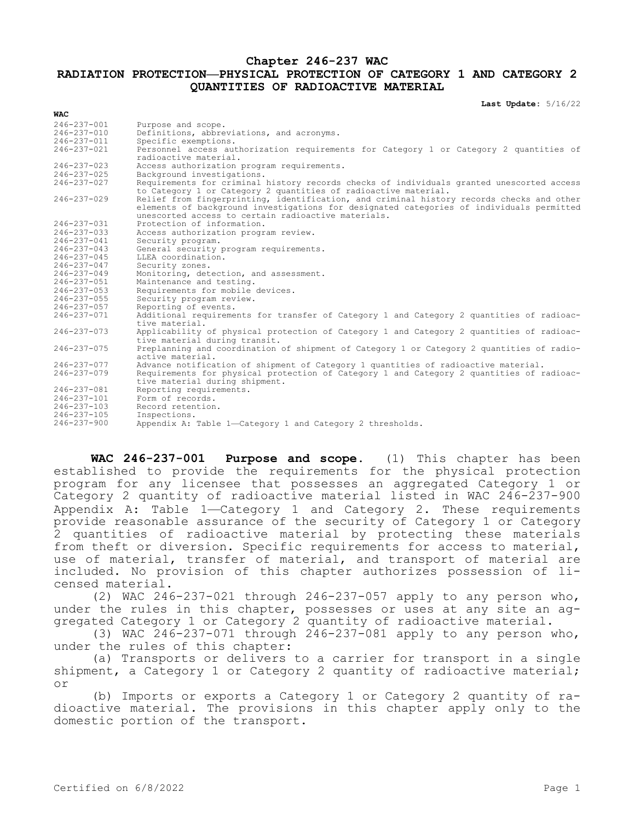## **Chapter 246-237 WAC**

## **RADIATION PROTECTION—PHYSICAL PROTECTION OF CATEGORY 1 AND CATEGORY 2 QUANTITIES OF RADIOACTIVE MATERIAL**

**Last Update:** 5/16/22

| <b>WAC</b>        |                                                                                                                                                                                                                                              |  |  |  |  |
|-------------------|----------------------------------------------------------------------------------------------------------------------------------------------------------------------------------------------------------------------------------------------|--|--|--|--|
| 246-237-001       | Purpose and scope.                                                                                                                                                                                                                           |  |  |  |  |
| $246 - 237 - 010$ | Definitions, abbreviations, and acronyms.                                                                                                                                                                                                    |  |  |  |  |
| 246-237-011       | Specific exemptions.                                                                                                                                                                                                                         |  |  |  |  |
| $246 - 237 - 021$ | Personnel access authorization requirements for Category 1 or Category 2 quantities of                                                                                                                                                       |  |  |  |  |
|                   | radioactive material.                                                                                                                                                                                                                        |  |  |  |  |
| $246 - 237 - 023$ | Access authorization program requirements.                                                                                                                                                                                                   |  |  |  |  |
| $246 - 237 - 025$ | Background investigations.                                                                                                                                                                                                                   |  |  |  |  |
| $246 - 237 - 027$ | Requirements for criminal history records checks of individuals granted unescorted access<br>to Category 1 or Category 2 quantities of radioactive material.                                                                                 |  |  |  |  |
| $246 - 237 - 029$ | Relief from fingerprinting, identification, and criminal history records checks and other<br>elements of background investigations for designated categories of individuals permitted<br>unescorted access to certain radioactive materials. |  |  |  |  |
| 246-237-031       | Protection of information.                                                                                                                                                                                                                   |  |  |  |  |
| $246 - 237 - 033$ | Access authorization program review.                                                                                                                                                                                                         |  |  |  |  |
| 246-237-041       | Security program.                                                                                                                                                                                                                            |  |  |  |  |
| $246 - 237 - 043$ | General security program requirements.                                                                                                                                                                                                       |  |  |  |  |
| 246-237-045       | LLEA coordination.                                                                                                                                                                                                                           |  |  |  |  |
| $246 - 237 - 047$ | Security zones.                                                                                                                                                                                                                              |  |  |  |  |
| $246 - 237 - 049$ | Monitoring, detection, and assessment.                                                                                                                                                                                                       |  |  |  |  |
| 246-237-051       | Maintenance and testing.                                                                                                                                                                                                                     |  |  |  |  |
| $246 - 237 - 053$ | Requirements for mobile devices.                                                                                                                                                                                                             |  |  |  |  |
| $246 - 237 - 055$ | Security program review.                                                                                                                                                                                                                     |  |  |  |  |
| 246-237-057       | Reporting of events.                                                                                                                                                                                                                         |  |  |  |  |
| $246 - 237 - 071$ | Additional requirements for transfer of Category 1 and Category 2 quantities of radioac-<br>tive material.                                                                                                                                   |  |  |  |  |
| $246 - 237 - 073$ | Applicability of physical protection of Category 1 and Category 2 quantities of radioac-<br>tive material during transit.                                                                                                                    |  |  |  |  |
| $246 - 237 - 075$ | Preplanning and coordination of shipment of Category 1 or Category 2 quantities of radio-<br>active material.                                                                                                                                |  |  |  |  |
| $246 - 237 - 077$ | Advance notification of shipment of Category 1 quantities of radioactive material.                                                                                                                                                           |  |  |  |  |
| $246 - 237 - 079$ | Requirements for physical protection of Category 1 and Category 2 quantities of radioac-<br>tive material during shipment.                                                                                                                   |  |  |  |  |
| 246-237-081       | Reporting requirements.                                                                                                                                                                                                                      |  |  |  |  |
| 246-237-101       | Form of records.                                                                                                                                                                                                                             |  |  |  |  |
| $246 - 237 - 103$ | Record retention.                                                                                                                                                                                                                            |  |  |  |  |
| $246 - 237 - 105$ | Inspections.                                                                                                                                                                                                                                 |  |  |  |  |
| $246 - 237 - 900$ | Appendix A: Table 1-Category 1 and Category 2 thresholds.                                                                                                                                                                                    |  |  |  |  |

**WAC 246-237-001 Purpose and scope.** (1) This chapter has been established to provide the requirements for the physical protection program for any licensee that possesses an aggregated Category 1 or Category 2 quantity of radioactive material listed in WAC  $246-237-900$ Appendix A: Table 1—Category 1 and Category 2. These requirements provide reasonable assurance of the security of Category 1 or Category 2 quantities of radioactive material by protecting these materials from theft or diversion. Specific requirements for access to material, use of material, transfer of material, and transport of material are included. No provision of this chapter authorizes possession of licensed material.

(2) WAC 246-237-021 through 246-237-057 apply to any person who, under the rules in this chapter, possesses or uses at any site an aggregated Category 1 or Category 2 quantity of radioactive material.

(3) WAC 246-237-071 through 246-237-081 apply to any person who, under the rules of this chapter:

(a) Transports or delivers to a carrier for transport in a single shipment, a Category 1 or Category 2 quantity of radioactive material; or

(b) Imports or exports a Category 1 or Category 2 quantity of radioactive material. The provisions in this chapter apply only to the domestic portion of the transport.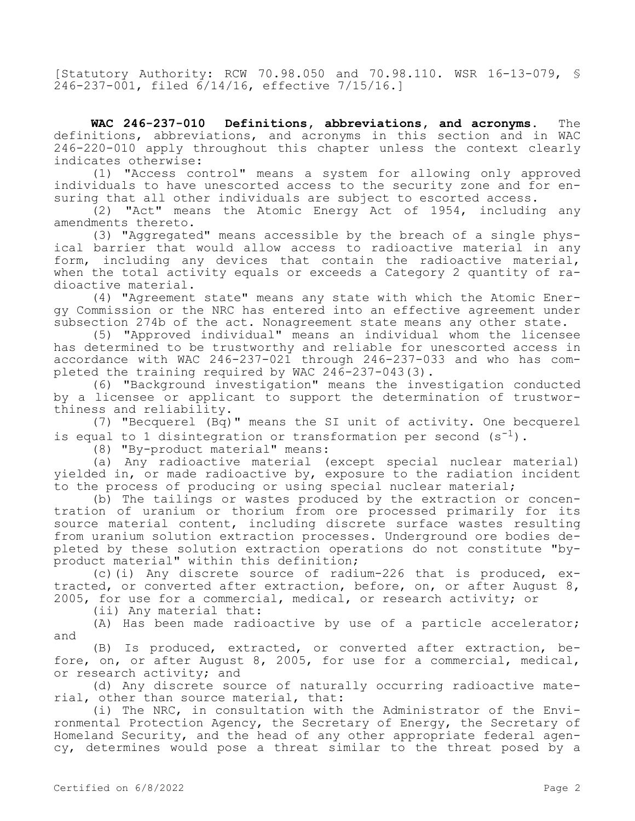[Statutory Authority: RCW 70.98.050 and 70.98.110. WSR 16-13-079, § 246-237-001, filed 6/14/16, effective 7/15/16.]

**WAC 246-237-010 Definitions, abbreviations, and acronyms.** The definitions, abbreviations, and acronyms in this section and in WAC 246-220-010 apply throughout this chapter unless the context clearly indicates otherwise:

(1) "Access control" means a system for allowing only approved individuals to have unescorted access to the security zone and for ensuring that all other individuals are subject to escorted access.

(2) "Act" means the Atomic Energy Act of 1954, including any amendments thereto.

(3) "Aggregated" means accessible by the breach of a single physical barrier that would allow access to radioactive material in any form, including any devices that contain the radioactive material, when the total activity equals or exceeds a Category 2 quantity of radioactive material.

(4) "Agreement state" means any state with which the Atomic Energy Commission or the NRC has entered into an effective agreement under subsection 274b of the act. Nonagreement state means any other state.

(5) "Approved individual" means an individual whom the licensee has determined to be trustworthy and reliable for unescorted access in accordance with WAC 246-237-021 through 246-237-033 and who has completed the training required by WAC 246-237-043(3).

(6) "Background investigation" means the investigation conducted by a licensee or applicant to support the determination of trustworthiness and reliability.

(7) "Becquerel (Bq)" means the SI unit of activity. One becquerel is equal to 1 disintegration or transformation per second  $(s^{-1})$ .

(8) "By-product material" means:

(a) Any radioactive material (except special nuclear material) yielded in, or made radioactive by, exposure to the radiation incident to the process of producing or using special nuclear material;

(b) The tailings or wastes produced by the extraction or concentration of uranium or thorium from ore processed primarily for its source material content, including discrete surface wastes resulting from uranium solution extraction processes. Underground ore bodies depleted by these solution extraction operations do not constitute "byproduct material" within this definition;

(c)(i) Any discrete source of radium-226 that is produced, extracted, or converted after extraction, before, on, or after August 8, 2005, for use for a commercial, medical, or research activity; or

(ii) Any material that:

(A) Has been made radioactive by use of a particle accelerator; and

(B) Is produced, extracted, or converted after extraction, before, on, or after August 8, 2005, for use for a commercial, medical, or research activity; and

(d) Any discrete source of naturally occurring radioactive material, other than source material, that:

(i) The NRC, in consultation with the Administrator of the Environmental Protection Agency, the Secretary of Energy, the Secretary of Homeland Security, and the head of any other appropriate federal agency, determines would pose a threat similar to the threat posed by a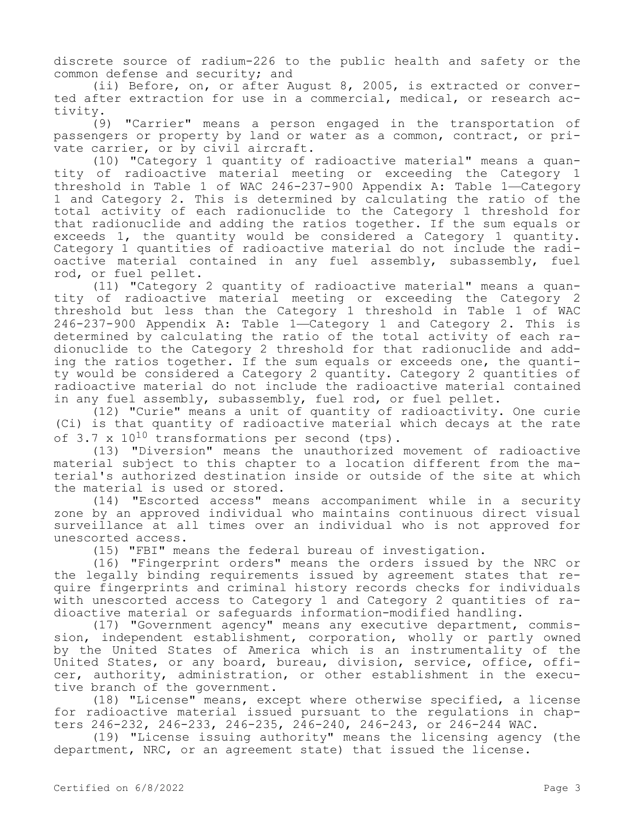discrete source of radium-226 to the public health and safety or the common defense and security; and

(ii) Before, on, or after August 8, 2005, is extracted or converted after extraction for use in a commercial, medical, or research activity.

(9) "Carrier" means a person engaged in the transportation of passengers or property by land or water as a common, contract, or private carrier, or by civil aircraft.

(10) "Category 1 quantity of radioactive material" means a quantity of radioactive material meeting or exceeding the Category 1 threshold in Table 1 of WAC 246-237-900 Appendix A: Table 1—Category 1 and Category 2. This is determined by calculating the ratio of the total activity of each radionuclide to the Category 1 threshold for that radionuclide and adding the ratios together. If the sum equals or exceeds 1, the quantity would be considered a Category 1 quantity. Category 1 quantities of radioactive material do not include the radioactive material contained in any fuel assembly, subassembly, fuel rod, or fuel pellet.

(11) "Category 2 quantity of radioactive material" means a quantity of radioactive material meeting or exceeding the Category 2 threshold but less than the Category 1 threshold in Table 1 of WAC 246-237-900 Appendix A: Table 1—Category 1 and Category 2. This is determined by calculating the ratio of the total activity of each radionuclide to the Category 2 threshold for that radionuclide and adding the ratios together. If the sum equals or exceeds one, the quantity would be considered a Category 2 quantity. Category 2 quantities of radioactive material do not include the radioactive material contained in any fuel assembly, subassembly, fuel rod, or fuel pellet.

(12) "Curie" means a unit of quantity of radioactivity. One curie (Ci) is that quantity of radioactive material which decays at the rate of  $3.7 \times 10^{10}$  transformations per second (tps).

(13) "Diversion" means the unauthorized movement of radioactive material subject to this chapter to a location different from the material's authorized destination inside or outside of the site at which the material is used or stored.

(14) "Escorted access" means accompaniment while in a security zone by an approved individual who maintains continuous direct visual surveillance at all times over an individual who is not approved for unescorted access.

(15) "FBI" means the federal bureau of investigation.

(16) "Fingerprint orders" means the orders issued by the NRC or the legally binding requirements issued by agreement states that require fingerprints and criminal history records checks for individuals with unescorted access to Category 1 and Category 2 quantities of radioactive material or safeguards information-modified handling.

(17) "Government agency" means any executive department, commission, independent establishment, corporation, wholly or partly owned by the United States of America which is an instrumentality of the United States, or any board, bureau, division, service, office, officer, authority, administration, or other establishment in the executive branch of the government.

(18) "License" means, except where otherwise specified, a license for radioactive material issued pursuant to the regulations in chapters 246-232, 246-233, 246-235, 246-240, 246-243, or 246-244 WAC.

(19) "License issuing authority" means the licensing agency (the department, NRC, or an agreement state) that issued the license.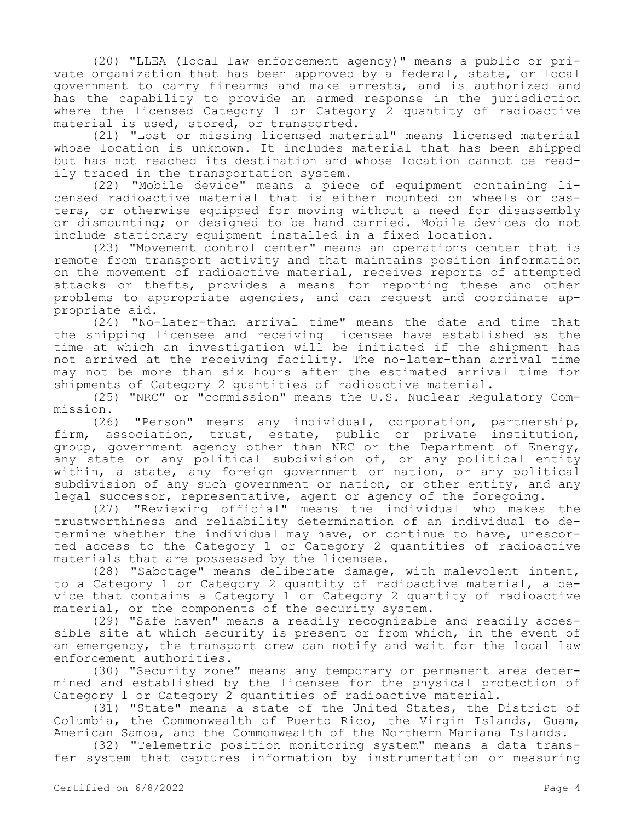(20) "LLEA (local law enforcement agency)" means a public or private organization that has been approved by a federal, state, or local government to carry firearms and make arrests, and is authorized and has the capability to provide an armed response in the jurisdiction where the licensed Category 1 or Category 2 quantity of radioactive material is used, stored, or transported.

(21) "Lost or missing licensed material" means licensed material whose location is unknown. It includes material that has been shipped but has not reached its destination and whose location cannot be readily traced in the transportation system.

(22) "Mobile device" means a piece of equipment containing licensed radioactive material that is either mounted on wheels or casters, or otherwise equipped for moving without a need for disassembly or dismounting; or designed to be hand carried. Mobile devices do not include stationary equipment installed in a fixed location.

(23) "Movement control center" means an operations center that is remote from transport activity and that maintains position information on the movement of radioactive material, receives reports of attempted attacks or thefts, provides a means for reporting these and other problems to appropriate agencies, and can request and coordinate appropriate aid.

(24) "No-later-than arrival time" means the date and time that the shipping licensee and receiving licensee have established as the time at which an investigation will be initiated if the shipment has not arrived at the receiving facility. The no-later-than arrival time may not be more than six hours after the estimated arrival time for shipments of Category 2 quantities of radioactive material.

(25) "NRC" or "commission" means the U.S. Nuclear Regulatory Commission.

(26) "Person" means any individual, corporation, partnership, firm, association, trust, estate, public or private institution, group, government agency other than NRC or the Department of Energy, any state or any political subdivision of, or any political entity within, a state, any foreign government or nation, or any political subdivision of any such government or nation, or other entity, and any legal successor, representative, agent or agency of the foregoing.

(27) "Reviewing official" means the individual who makes the trustworthiness and reliability determination of an individual to determine whether the individual may have, or continue to have, unescorted access to the Category 1 or Category 2 quantities of radioactive materials that are possessed by the licensee.

(28) "Sabotage" means deliberate damage, with malevolent intent, to a Category 1 or Category 2 quantity of radioactive material, a device that contains a Category 1 or Category 2 quantity of radioactive material, or the components of the security system.

(29) "Safe haven" means a readily recognizable and readily accessible site at which security is present or from which, in the event of an emergency, the transport crew can notify and wait for the local law enforcement authorities.

(30) "Security zone" means any temporary or permanent area determined and established by the licensee for the physical protection of Category 1 or Category 2 quantities of radioactive material.

(31) "State" means a state of the United States, the District of Columbia, the Commonwealth of Puerto Rico, the Virgin Islands, Guam, American Samoa, and the Commonwealth of the Northern Mariana Islands.

(32) "Telemetric position monitoring system" means a data transfer system that captures information by instrumentation or measuring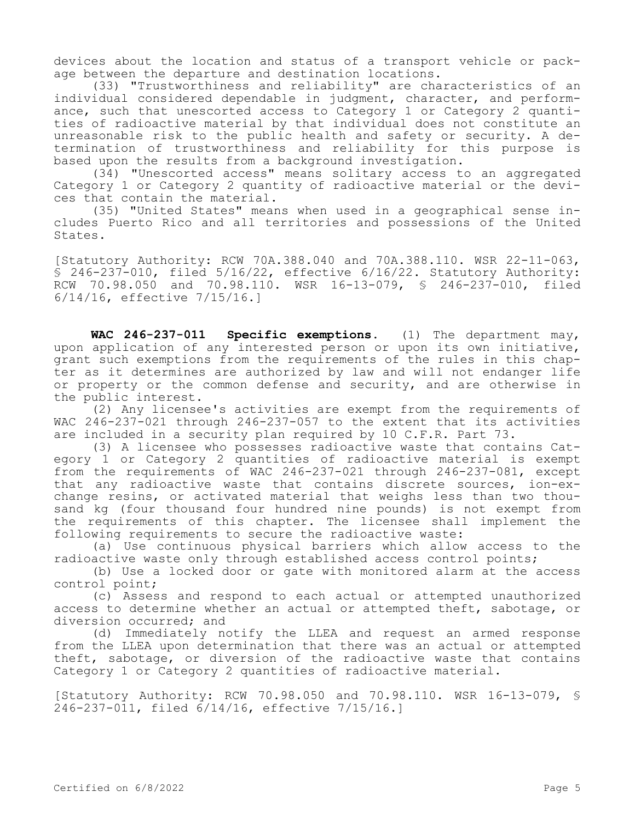devices about the location and status of a transport vehicle or package between the departure and destination locations.

(33) "Trustworthiness and reliability" are characteristics of an individual considered dependable in judgment, character, and performance, such that unescorted access to Category 1 or Category 2 quantities of radioactive material by that individual does not constitute an unreasonable risk to the public health and safety or security. A determination of trustworthiness and reliability for this purpose is based upon the results from a background investigation.

(34) "Unescorted access" means solitary access to an aggregated Category 1 or Category 2 quantity of radioactive material or the devices that contain the material.

(35) "United States" means when used in a geographical sense includes Puerto Rico and all territories and possessions of the United States.

[Statutory Authority: RCW 70A.388.040 and 70A.388.110. WSR 22-11-063, § 246-237-010, filed 5/16/22, effective 6/16/22. Statutory Authority: RCW 70.98.050 and 70.98.110. WSR 16-13-079, § 246-237-010, filed 6/14/16, effective 7/15/16.]

**WAC 246-237-011 Specific exemptions.** (1) The department may, upon application of any interested person or upon its own initiative, grant such exemptions from the requirements of the rules in this chapter as it determines are authorized by law and will not endanger life or property or the common defense and security, and are otherwise in the public interest.

(2) Any licensee's activities are exempt from the requirements of WAC 246-237-021 through 246-237-057 to the extent that its activities are included in a security plan required by 10 C.F.R. Part 73.

(3) A licensee who possesses radioactive waste that contains Category 1 or Category 2 quantities of radioactive material is exempt from the requirements of WAC 246-237-021 through 246-237-081, except that any radioactive waste that contains discrete sources, ion-exchange resins, or activated material that weighs less than two thousand kg (four thousand four hundred nine pounds) is not exempt from the requirements of this chapter. The licensee shall implement the following requirements to secure the radioactive waste:

(a) Use continuous physical barriers which allow access to the radioactive waste only through established access control points;

(b) Use a locked door or gate with monitored alarm at the access control point;

(c) Assess and respond to each actual or attempted unauthorized access to determine whether an actual or attempted theft, sabotage, or diversion occurred; and

(d) Immediately notify the LLEA and request an armed response from the LLEA upon determination that there was an actual or attempted theft, sabotage, or diversion of the radioactive waste that contains Category 1 or Category 2 quantities of radioactive material.

[Statutory Authority: RCW 70.98.050 and 70.98.110. WSR 16-13-079, § 246-237-011, filed 6/14/16, effective 7/15/16.]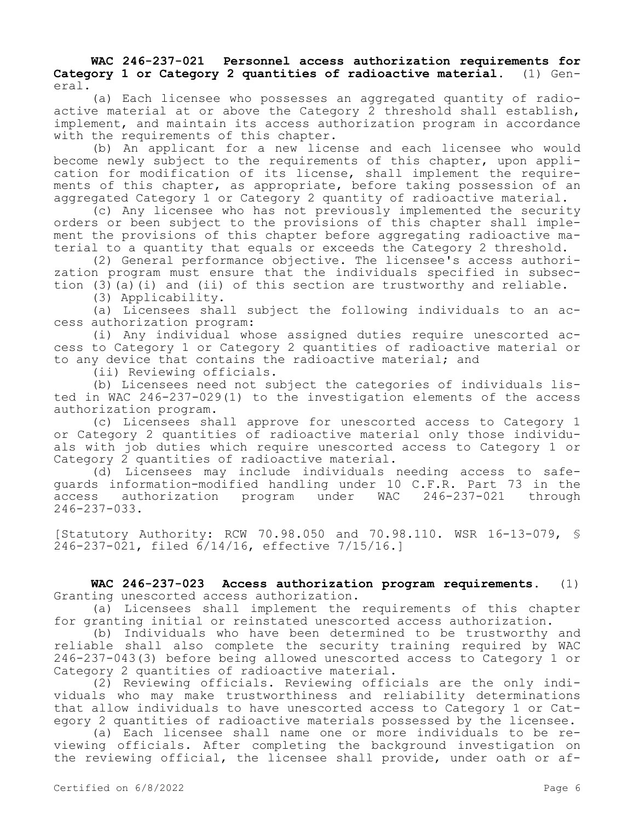## **WAC 246-237-021 Personnel access authorization requirements for Category 1 or Category 2 quantities of radioactive material.** (1) General.

(a) Each licensee who possesses an aggregated quantity of radioactive material at or above the Category 2 threshold shall establish, implement, and maintain its access authorization program in accordance with the requirements of this chapter.

(b) An applicant for a new license and each licensee who would become newly subject to the requirements of this chapter, upon application for modification of its license, shall implement the requirements of this chapter, as appropriate, before taking possession of an aggregated Category 1 or Category 2 quantity of radioactive material.

(c) Any licensee who has not previously implemented the security orders or been subject to the provisions of this chapter shall implement the provisions of this chapter before aggregating radioactive material to a quantity that equals or exceeds the Category 2 threshold.

(2) General performance objective. The licensee's access authorization program must ensure that the individuals specified in subsection  $(3)$  (a)(i) and (ii) of this section are trustworthy and reliable.

(3) Applicability.

(a) Licensees shall subject the following individuals to an access authorization program:

(i) Any individual whose assigned duties require unescorted access to Category 1 or Category 2 quantities of radioactive material or to any device that contains the radioactive material; and

(ii) Reviewing officials.

(b) Licensees need not subject the categories of individuals listed in WAC 246-237-029(1) to the investigation elements of the access authorization program.

(c) Licensees shall approve for unescorted access to Category 1 or Category 2 quantities of radioactive material only those individuals with job duties which require unescorted access to Category 1 or Category 2 quantities of radioactive material.

(d) Licensees may include individuals needing access to safeguards information-modified handling under 10 C.F.R. Part 73 in the<br>access authorization program under WAC 246-237-021 through access authorization program 246-237-033.

[Statutory Authority: RCW 70.98.050 and 70.98.110. WSR 16-13-079, § 246-237-021, filed 6/14/16, effective 7/15/16.]

**WAC 246-237-023 Access authorization program requirements.** (1) Granting unescorted access authorization.

(a) Licensees shall implement the requirements of this chapter for granting initial or reinstated unescorted access authorization.

(b) Individuals who have been determined to be trustworthy and reliable shall also complete the security training required by WAC 246-237-043(3) before being allowed unescorted access to Category 1 or Category 2 quantities of radioactive material.

(2) Reviewing officials. Reviewing officials are the only individuals who may make trustworthiness and reliability determinations that allow individuals to have unescorted access to Category 1 or Category 2 quantities of radioactive materials possessed by the licensee.

(a) Each licensee shall name one or more individuals to be reviewing officials. After completing the background investigation on the reviewing official, the licensee shall provide, under oath or af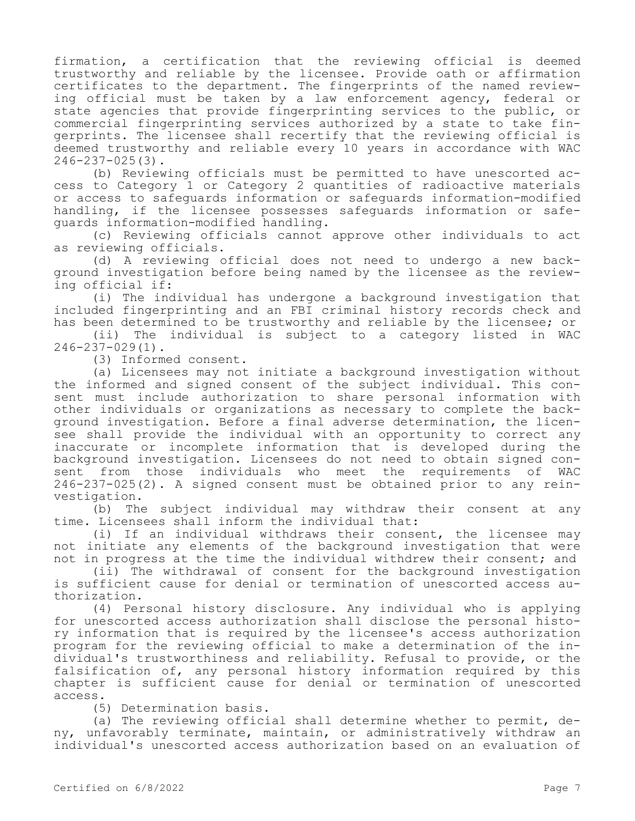firmation, a certification that the reviewing official is deemed trustworthy and reliable by the licensee. Provide oath or affirmation certificates to the department. The fingerprints of the named reviewing official must be taken by a law enforcement agency, federal or state agencies that provide fingerprinting services to the public, or commercial fingerprinting services authorized by a state to take fingerprints. The licensee shall recertify that the reviewing official is deemed trustworthy and reliable every 10 years in accordance with WAC 246-237-025(3).

(b) Reviewing officials must be permitted to have unescorted access to Category 1 or Category 2 quantities of radioactive materials or access to safeguards information or safeguards information-modified handling, if the licensee possesses safeguards information or safeguards information-modified handling.

(c) Reviewing officials cannot approve other individuals to act as reviewing officials.

(d) A reviewing official does not need to undergo a new background investigation before being named by the licensee as the reviewing official if:

(i) The individual has undergone a background investigation that included fingerprinting and an FBI criminal history records check and has been determined to be trustworthy and reliable by the licensee; or

(ii) The individual is subject to a category listed in WAC 246-237-029(1).

(3) Informed consent.

(a) Licensees may not initiate a background investigation without the informed and signed consent of the subject individual. This consent must include authorization to share personal information with other individuals or organizations as necessary to complete the background investigation. Before a final adverse determination, the licensee shall provide the individual with an opportunity to correct any inaccurate or incomplete information that is developed during the background investigation. Licensees do not need to obtain signed consent from those individuals who meet the requirements of WAC 246-237-025(2). A signed consent must be obtained prior to any reinvestigation.

(b) The subject individual may withdraw their consent at any time. Licensees shall inform the individual that:

(i) If an individual withdraws their consent, the licensee may not initiate any elements of the background investigation that were not in progress at the time the individual withdrew their consent; and

(ii) The withdrawal of consent for the background investigation is sufficient cause for denial or termination of unescorted access authorization.

(4) Personal history disclosure. Any individual who is applying for unescorted access authorization shall disclose the personal history information that is required by the licensee's access authorization program for the reviewing official to make a determination of the individual's trustworthiness and reliability. Refusal to provide, or the falsification of, any personal history information required by this chapter is sufficient cause for denial or termination of unescorted access.

(5) Determination basis.

(a) The reviewing official shall determine whether to permit, deny, unfavorably terminate, maintain, or administratively withdraw an individual's unescorted access authorization based on an evaluation of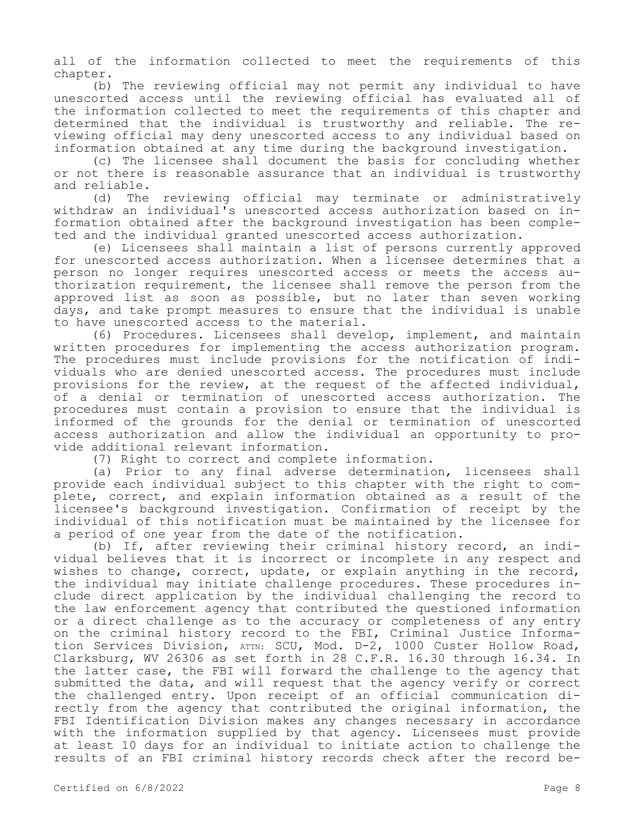all of the information collected to meet the requirements of this chapter.

(b) The reviewing official may not permit any individual to have unescorted access until the reviewing official has evaluated all of the information collected to meet the requirements of this chapter and determined that the individual is trustworthy and reliable. The reviewing official may deny unescorted access to any individual based on information obtained at any time during the background investigation.

(c) The licensee shall document the basis for concluding whether or not there is reasonable assurance that an individual is trustworthy and reliable.

(d) The reviewing official may terminate or administratively withdraw an individual's unescorted access authorization based on information obtained after the background investigation has been completed and the individual granted unescorted access authorization.

(e) Licensees shall maintain a list of persons currently approved for unescorted access authorization. When a licensee determines that a person no longer requires unescorted access or meets the access authorization requirement, the licensee shall remove the person from the approved list as soon as possible, but no later than seven working days, and take prompt measures to ensure that the individual is unable to have unescorted access to the material.

(6) Procedures. Licensees shall develop, implement, and maintain written procedures for implementing the access authorization program. The procedures must include provisions for the notification of individuals who are denied unescorted access. The procedures must include provisions for the review, at the request of the affected individual, of a denial or termination of unescorted access authorization. The procedures must contain a provision to ensure that the individual is informed of the grounds for the denial or termination of unescorted access authorization and allow the individual an opportunity to provide additional relevant information.

(7) Right to correct and complete information.

(a) Prior to any final adverse determination, licensees shall provide each individual subject to this chapter with the right to complete, correct, and explain information obtained as a result of the licensee's background investigation. Confirmation of receipt by the individual of this notification must be maintained by the licensee for a period of one year from the date of the notification.

(b) If, after reviewing their criminal history record, an individual believes that it is incorrect or incomplete in any respect and wishes to change, correct, update, or explain anything in the record, the individual may initiate challenge procedures. These procedures include direct application by the individual challenging the record to the law enforcement agency that contributed the questioned information or a direct challenge as to the accuracy or completeness of any entry on the criminal history record to the FBI, Criminal Justice Information Services Division, ATTN: SCU, Mod. D-2, 1000 Custer Hollow Road, Clarksburg, WV 26306 as set forth in 28 C.F.R. 16.30 through 16.34. In the latter case, the FBI will forward the challenge to the agency that submitted the data, and will request that the agency verify or correct the challenged entry. Upon receipt of an official communication directly from the agency that contributed the original information, the FBI Identification Division makes any changes necessary in accordance with the information supplied by that agency. Licensees must provide at least 10 days for an individual to initiate action to challenge the results of an FBI criminal history records check after the record be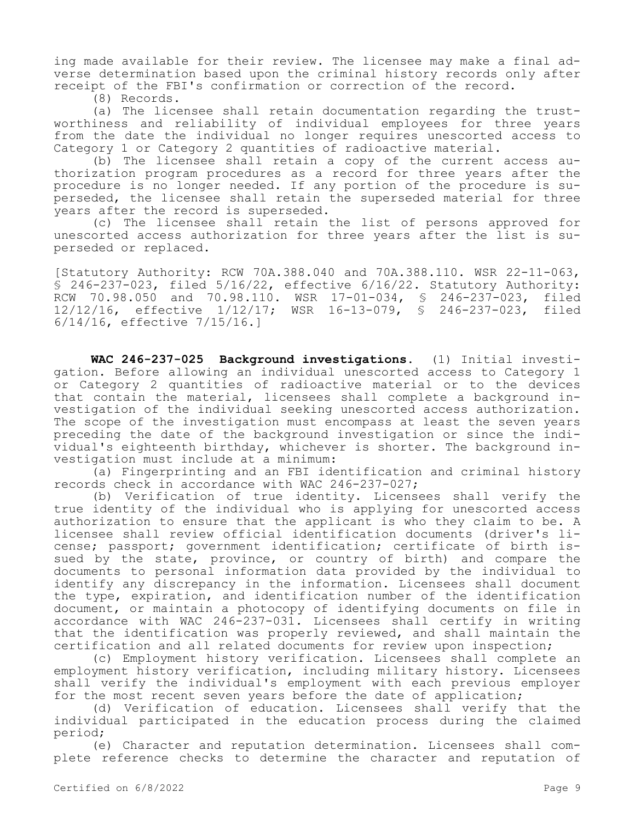ing made available for their review. The licensee may make a final adverse determination based upon the criminal history records only after receipt of the FBI's confirmation or correction of the record.

(8) Records.

(a) The licensee shall retain documentation regarding the trustworthiness and reliability of individual employees for three years from the date the individual no longer requires unescorted access to Category 1 or Category 2 quantities of radioactive material.

(b) The licensee shall retain a copy of the current access authorization program procedures as a record for three years after the procedure is no longer needed. If any portion of the procedure is superseded, the licensee shall retain the superseded material for three years after the record is superseded.

(c) The licensee shall retain the list of persons approved for unescorted access authorization for three years after the list is superseded or replaced.

[Statutory Authority: RCW 70A.388.040 and 70A.388.110. WSR 22-11-063, § 246-237-023, filed 5/16/22, effective 6/16/22. Statutory Authority: RCW 70.98.050 and 70.98.110. WSR 17-01-034, § 246-237-023, filed 12/12/16, effective 1/12/17; WSR 16-13-079, § 246-237-023, filed 6/14/16, effective 7/15/16.]

**WAC 246-237-025 Background investigations.** (1) Initial investigation. Before allowing an individual unescorted access to Category 1 or Category 2 quantities of radioactive material or to the devices that contain the material, licensees shall complete a background investigation of the individual seeking unescorted access authorization. The scope of the investigation must encompass at least the seven years preceding the date of the background investigation or since the individual's eighteenth birthday, whichever is shorter. The background investigation must include at a minimum:

(a) Fingerprinting and an FBI identification and criminal history records check in accordance with WAC 246-237-027;

(b) Verification of true identity. Licensees shall verify the true identity of the individual who is applying for unescorted access authorization to ensure that the applicant is who they claim to be. A licensee shall review official identification documents (driver's license; passport; government identification; certificate of birth issued by the state, province, or country of birth) and compare the documents to personal information data provided by the individual to identify any discrepancy in the information. Licensees shall document the type, expiration, and identification number of the identification document, or maintain a photocopy of identifying documents on file in accordance with WAC 246-237-031. Licensees shall certify in writing that the identification was properly reviewed, and shall maintain the certification and all related documents for review upon inspection;

(c) Employment history verification. Licensees shall complete an employment history verification, including military history. Licensees shall verify the individual's employment with each previous employer for the most recent seven years before the date of application;

(d) Verification of education. Licensees shall verify that the individual participated in the education process during the claimed period;

(e) Character and reputation determination. Licensees shall complete reference checks to determine the character and reputation of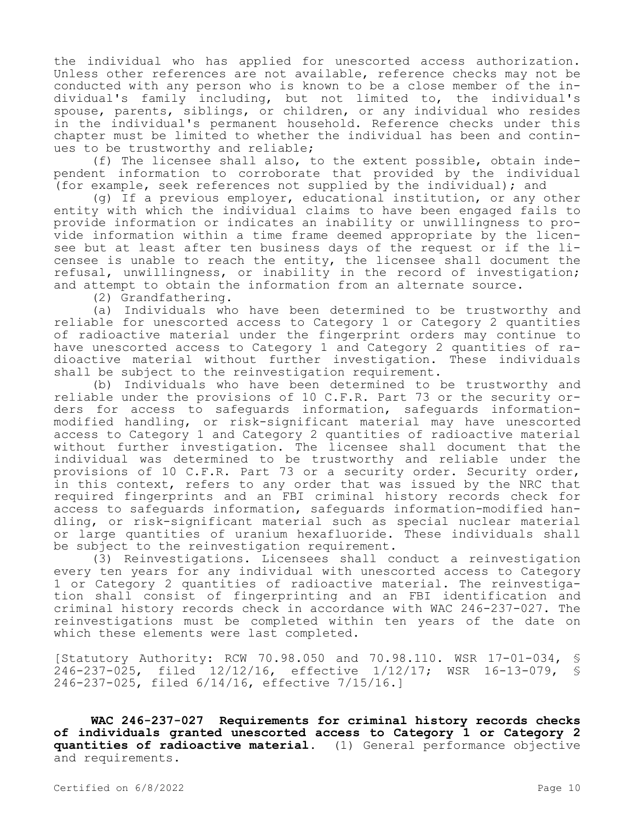the individual who has applied for unescorted access authorization. Unless other references are not available, reference checks may not be conducted with any person who is known to be a close member of the individual's family including, but not limited to, the individual's spouse, parents, siblings, or children, or any individual who resides in the individual's permanent household. Reference checks under this chapter must be limited to whether the individual has been and continues to be trustworthy and reliable;

(f) The licensee shall also, to the extent possible, obtain independent information to corroborate that provided by the individual (for example, seek references not supplied by the individual); and

(g) If a previous employer, educational institution, or any other entity with which the individual claims to have been engaged fails to provide information or indicates an inability or unwillingness to provide information within a time frame deemed appropriate by the licensee but at least after ten business days of the request or if the licensee is unable to reach the entity, the licensee shall document the refusal, unwillingness, or inability in the record of investigation; and attempt to obtain the information from an alternate source.

(2) Grandfathering.

(a) Individuals who have been determined to be trustworthy and reliable for unescorted access to Category 1 or Category 2 quantities of radioactive material under the fingerprint orders may continue to have unescorted access to Category 1 and Category 2 quantities of radioactive material without further investigation. These individuals shall be subject to the reinvestigation requirement.

(b) Individuals who have been determined to be trustworthy and reliable under the provisions of 10 C.F.R. Part 73 or the security orders for access to safeguards information, safeguards informationmodified handling, or risk-significant material may have unescorted access to Category 1 and Category 2 quantities of radioactive material without further investigation. The licensee shall document that the individual was determined to be trustworthy and reliable under the provisions of 10 C.F.R. Part 73 or a security order. Security order, in this context, refers to any order that was issued by the NRC that required fingerprints and an FBI criminal history records check for access to safeguards information, safeguards information-modified handling, or risk-significant material such as special nuclear material or large quantities of uranium hexafluoride. These individuals shall be subject to the reinvestigation requirement.

(3) Reinvestigations. Licensees shall conduct a reinvestigation every ten years for any individual with unescorted access to Category 1 or Category 2 quantities of radioactive material. The reinvestigation shall consist of fingerprinting and an FBI identification and criminal history records check in accordance with WAC 246-237-027. The reinvestigations must be completed within ten years of the date on which these elements were last completed.

[Statutory Authority: RCW 70.98.050 and 70.98.110. WSR 17-01-034, § 246-237-025, filed 12/12/16, effective 1/12/17; WSR 16-13-079, § 246-237-025, filed 6/14/16, effective 7/15/16.]

**WAC 246-237-027 Requirements for criminal history records checks of individuals granted unescorted access to Category 1 or Category 2 quantities of radioactive material.** (1) General performance objective and requirements.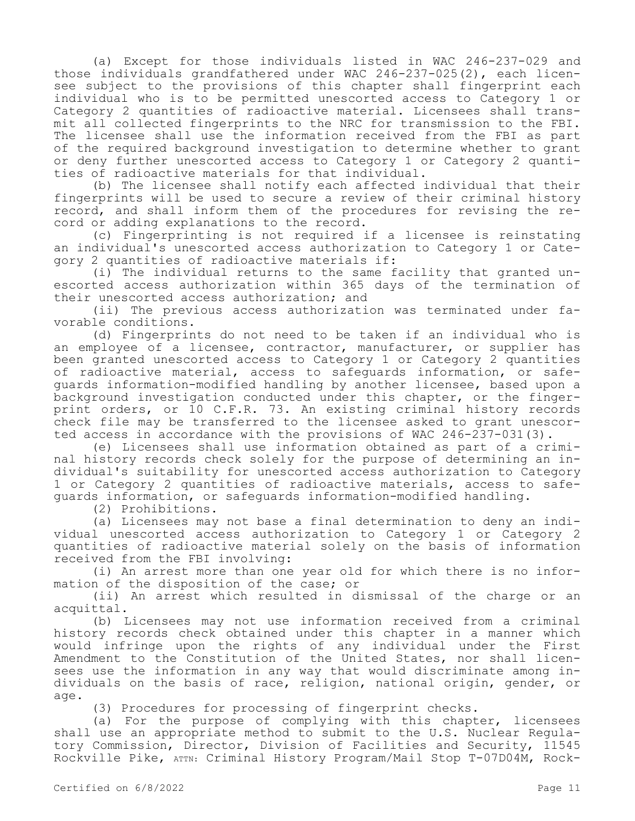(a) Except for those individuals listed in WAC 246-237-029 and those individuals grandfathered under WAC 246-237-025(2), each licensee subject to the provisions of this chapter shall fingerprint each individual who is to be permitted unescorted access to Category 1 or Category 2 quantities of radioactive material. Licensees shall transmit all collected fingerprints to the NRC for transmission to the FBI. The licensee shall use the information received from the FBI as part of the required background investigation to determine whether to grant or deny further unescorted access to Category 1 or Category 2 quantities of radioactive materials for that individual.

(b) The licensee shall notify each affected individual that their fingerprints will be used to secure a review of their criminal history record, and shall inform them of the procedures for revising the record or adding explanations to the record.

(c) Fingerprinting is not required if a licensee is reinstating an individual's unescorted access authorization to Category 1 or Category 2 quantities of radioactive materials if:

(i) The individual returns to the same facility that granted unescorted access authorization within 365 days of the termination of their unescorted access authorization; and

(ii) The previous access authorization was terminated under favorable conditions.

(d) Fingerprints do not need to be taken if an individual who is an employee of a licensee, contractor, manufacturer, or supplier has been granted unescorted access to Category 1 or Category 2 quantities of radioactive material, access to safeguards information, or safeguards information-modified handling by another licensee, based upon a background investigation conducted under this chapter, or the fingerprint orders, or 10 C.F.R. 73. An existing criminal history records check file may be transferred to the licensee asked to grant unescorted access in accordance with the provisions of WAC 246-237-031(3).

(e) Licensees shall use information obtained as part of a criminal history records check solely for the purpose of determining an individual's suitability for unescorted access authorization to Category 1 or Category 2 quantities of radioactive materials, access to safeguards information, or safeguards information-modified handling.

(2) Prohibitions.

(a) Licensees may not base a final determination to deny an individual unescorted access authorization to Category 1 or Category 2 quantities of radioactive material solely on the basis of information received from the FBI involving:

(i) An arrest more than one year old for which there is no information of the disposition of the case; or

(ii) An arrest which resulted in dismissal of the charge or an acquittal.

(b) Licensees may not use information received from a criminal history records check obtained under this chapter in a manner which would infringe upon the rights of any individual under the First Amendment to the Constitution of the United States, nor shall licensees use the information in any way that would discriminate among individuals on the basis of race, religion, national origin, gender, or age.

(3) Procedures for processing of fingerprint checks.

(a) For the purpose of complying with this chapter, licensees shall use an appropriate method to submit to the U.S. Nuclear Regulatory Commission, Director, Division of Facilities and Security, 11545 Rockville Pike, ATTN: Criminal History Program/Mail Stop T-07D04M, Rock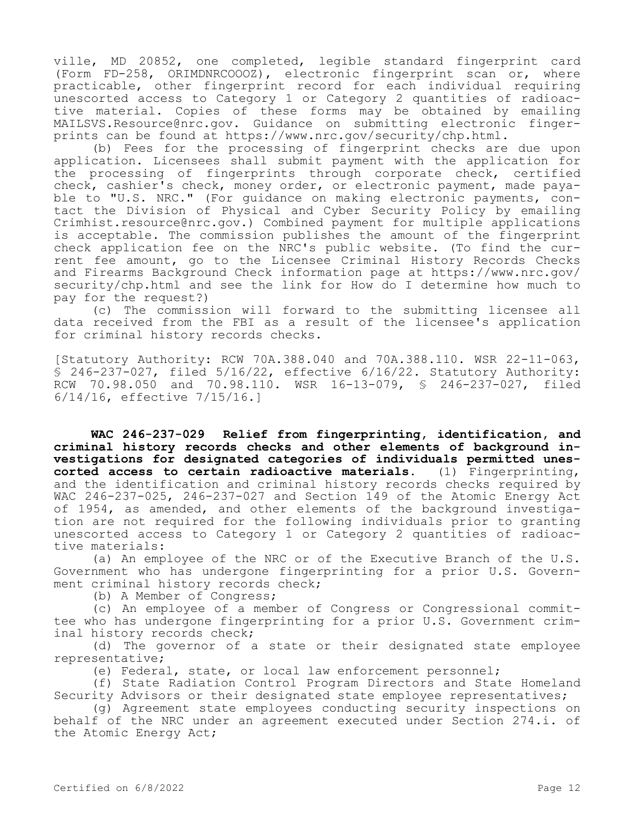ville, MD 20852, one completed, legible standard fingerprint card (Form FD-258, ORIMDNRCOOOZ), electronic fingerprint scan or, where practicable, other fingerprint record for each individual requiring unescorted access to Category 1 or Category 2 quantities of radioactive material. Copies of these forms may be obtained by emailing MAILSVS.Resource@nrc.gov. Guidance on submitting electronic fingerprints can be found at https://www.nrc.gov/security/chp.html.

(b) Fees for the processing of fingerprint checks are due upon application. Licensees shall submit payment with the application for the processing of fingerprints through corporate check, certified check, cashier's check, money order, or electronic payment, made payable to "U.S. NRC." (For guidance on making electronic payments, contact the Division of Physical and Cyber Security Policy by emailing Crimhist.resource@nrc.gov.) Combined payment for multiple applications is acceptable. The commission publishes the amount of the fingerprint check application fee on the NRC's public website. (To find the current fee amount, go to the Licensee Criminal History Records Checks and Firearms Background Check information page at https://www.nrc.gov/ security/chp.html and see the link for How do I determine how much to pay for the request?)

(c) The commission will forward to the submitting licensee all data received from the FBI as a result of the licensee's application for criminal history records checks.

[Statutory Authority: RCW 70A.388.040 and 70A.388.110. WSR 22-11-063, § 246-237-027, filed 5/16/22, effective 6/16/22. Statutory Authority: RCW 70.98.050 and 70.98.110. WSR 16-13-079, § 246-237-027, filed 6/14/16, effective 7/15/16.]

**WAC 246-237-029 Relief from fingerprinting, identification, and criminal history records checks and other elements of background investigations for designated categories of individuals permitted unescorted access to certain radioactive materials.** (1) Fingerprinting, and the identification and criminal history records checks required by WAC 246-237-025, 246-237-027 and Section 149 of the Atomic Energy Act of 1954, as amended, and other elements of the background investigation are not required for the following individuals prior to granting unescorted access to Category 1 or Category 2 quantities of radioactive materials:

(a) An employee of the NRC or of the Executive Branch of the U.S. Government who has undergone fingerprinting for a prior U.S. Government criminal history records check;

(b) A Member of Congress;

(c) An employee of a member of Congress or Congressional committee who has undergone fingerprinting for a prior U.S. Government criminal history records check;

(d) The governor of a state or their designated state employee representative;

(e) Federal, state, or local law enforcement personnel;

(f) State Radiation Control Program Directors and State Homeland Security Advisors or their designated state employee representatives;

(g) Agreement state employees conducting security inspections on behalf of the NRC under an agreement executed under Section 274.i. of the Atomic Energy Act;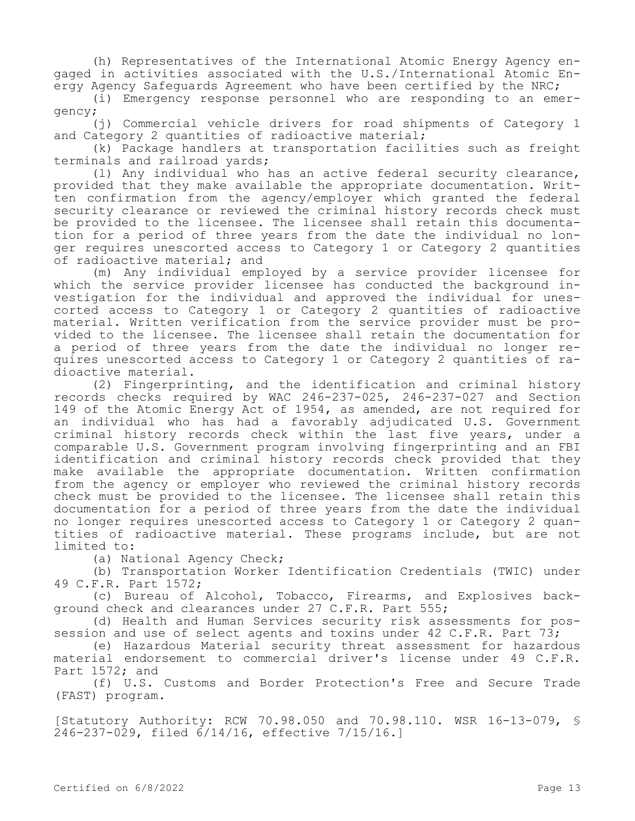(h) Representatives of the International Atomic Energy Agency engaged in activities associated with the U.S./International Atomic Energy Agency Safeguards Agreement who have been certified by the NRC;

(i) Emergency response personnel who are responding to an emergency;

(j) Commercial vehicle drivers for road shipments of Category 1 and Category 2 quantities of radioactive material;

(k) Package handlers at transportation facilities such as freight terminals and railroad yards;

(l) Any individual who has an active federal security clearance, provided that they make available the appropriate documentation. Written confirmation from the agency/employer which granted the federal security clearance or reviewed the criminal history records check must be provided to the licensee. The licensee shall retain this documentation for a period of three years from the date the individual no longer requires unescorted access to Category 1 or Category 2 quantities of radioactive material; and

(m) Any individual employed by a service provider licensee for which the service provider licensee has conducted the background investigation for the individual and approved the individual for unescorted access to Category 1 or Category 2 quantities of radioactive material. Written verification from the service provider must be provided to the licensee. The licensee shall retain the documentation for a period of three years from the date the individual no longer requires unescorted access to Category 1 or Category 2 quantities of radioactive material.

(2) Fingerprinting, and the identification and criminal history records checks required by WAC 246-237-025, 246-237-027 and Section 149 of the Atomic Energy Act of 1954, as amended, are not required for an individual who has had a favorably adjudicated U.S. Government criminal history records check within the last five years, under a comparable U.S. Government program involving fingerprinting and an FBI identification and criminal history records check provided that they make available the appropriate documentation. Written confirmation from the agency or employer who reviewed the criminal history records check must be provided to the licensee. The licensee shall retain this documentation for a period of three years from the date the individual no longer requires unescorted access to Category 1 or Category 2 quantities of radioactive material. These programs include, but are not limited to:

(a) National Agency Check;

(b) Transportation Worker Identification Credentials (TWIC) under 49 C.F.R. Part 1572;

(c) Bureau of Alcohol, Tobacco, Firearms, and Explosives background check and clearances under 27 C.F.R. Part 555;

(d) Health and Human Services security risk assessments for possession and use of select agents and toxins under 42 C.F.R. Part 73;

(e) Hazardous Material security threat assessment for hazardous material endorsement to commercial driver's license under 49 C.F.R. Part 1572; and

(f) U.S. Customs and Border Protection's Free and Secure Trade (FAST) program.

[Statutory Authority: RCW 70.98.050 and 70.98.110. WSR 16-13-079, § 246-237-029, filed 6/14/16, effective 7/15/16.]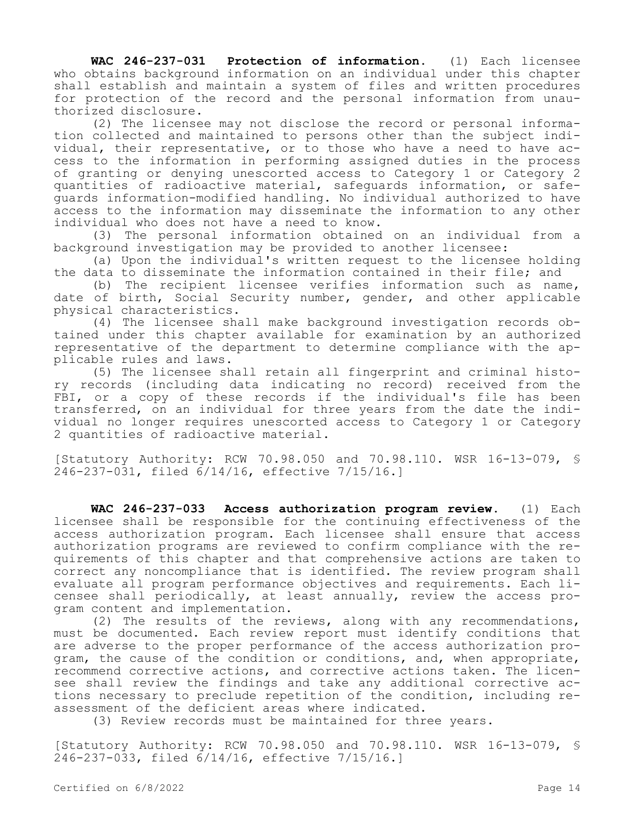**WAC 246-237-031 Protection of information.** (1) Each licensee who obtains background information on an individual under this chapter shall establish and maintain a system of files and written procedures for protection of the record and the personal information from unauthorized disclosure.

(2) The licensee may not disclose the record or personal information collected and maintained to persons other than the subject individual, their representative, or to those who have a need to have access to the information in performing assigned duties in the process of granting or denying unescorted access to Category 1 or Category 2 quantities of radioactive material, safeguards information, or safeguards information-modified handling. No individual authorized to have access to the information may disseminate the information to any other individual who does not have a need to know.

(3) The personal information obtained on an individual from a background investigation may be provided to another licensee:

(a) Upon the individual's written request to the licensee holding the data to disseminate the information contained in their file; and

(b) The recipient licensee verifies information such as name, date of birth, Social Security number, gender, and other applicable physical characteristics.

(4) The licensee shall make background investigation records obtained under this chapter available for examination by an authorized representative of the department to determine compliance with the applicable rules and laws.

(5) The licensee shall retain all fingerprint and criminal history records (including data indicating no record) received from the FBI, or a copy of these records if the individual's file has been transferred, on an individual for three years from the date the individual no longer requires unescorted access to Category 1 or Category 2 quantities of radioactive material.

[Statutory Authority: RCW 70.98.050 and 70.98.110. WSR 16-13-079, § 246-237-031, filed 6/14/16, effective 7/15/16.]

**WAC 246-237-033 Access authorization program review.** (1) Each licensee shall be responsible for the continuing effectiveness of the access authorization program. Each licensee shall ensure that access authorization programs are reviewed to confirm compliance with the requirements of this chapter and that comprehensive actions are taken to correct any noncompliance that is identified. The review program shall evaluate all program performance objectives and requirements. Each licensee shall periodically, at least annually, review the access program content and implementation.

(2) The results of the reviews, along with any recommendations, must be documented. Each review report must identify conditions that are adverse to the proper performance of the access authorization program, the cause of the condition or conditions, and, when appropriate, recommend corrective actions, and corrective actions taken. The licensee shall review the findings and take any additional corrective actions necessary to preclude repetition of the condition, including reassessment of the deficient areas where indicated.

(3) Review records must be maintained for three years.

[Statutory Authority: RCW 70.98.050 and 70.98.110. WSR 16-13-079, § 246-237-033, filed 6/14/16, effective 7/15/16.]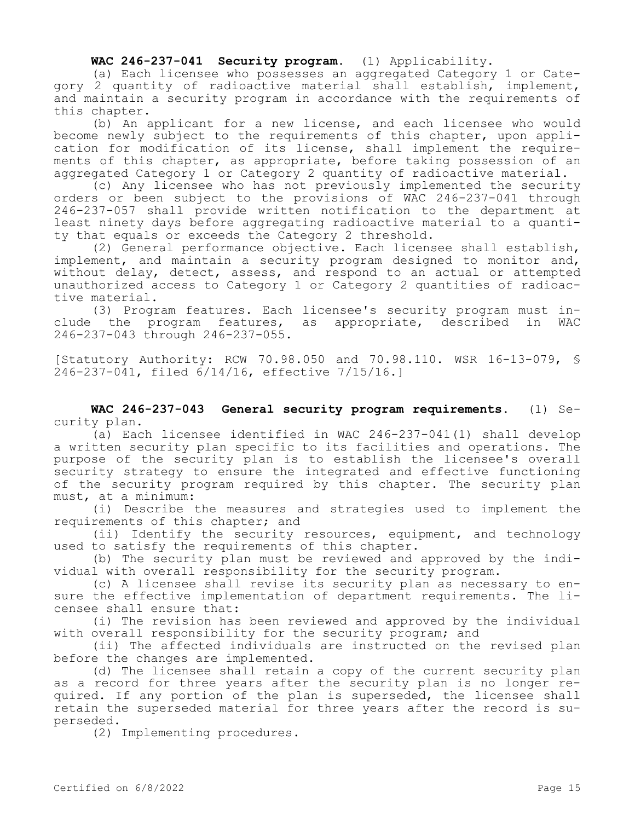**WAC 246-237-041 Security program.** (1) Applicability.

(a) Each licensee who possesses an aggregated Category 1 or Category 2 quantity of radioactive material shall establish, implement, and maintain a security program in accordance with the requirements of this chapter.

(b) An applicant for a new license, and each licensee who would become newly subject to the requirements of this chapter, upon application for modification of its license, shall implement the requirements of this chapter, as appropriate, before taking possession of an aggregated Category 1 or Category 2 quantity of radioactive material.

(c) Any licensee who has not previously implemented the security orders or been subject to the provisions of WAC 246-237-041 through 246-237-057 shall provide written notification to the department at least ninety days before aggregating radioactive material to a quantity that equals or exceeds the Category 2 threshold.

(2) General performance objective. Each licensee shall establish, implement, and maintain a security program designed to monitor and, without delay, detect, assess, and respond to an actual or attempted unauthorized access to Category 1 or Category 2 quantities of radioactive material.

(3) Program features. Each licensee's security program must include the program features, as appropriate, described in WAC 246-237-043 through 246-237-055.

[Statutory Authority: RCW 70.98.050 and 70.98.110. WSR 16-13-079, § 246-237-041, filed 6/14/16, effective 7/15/16.]

**WAC 246-237-043 General security program requirements.** (1) Security plan.

(a) Each licensee identified in WAC 246-237-041(1) shall develop a written security plan specific to its facilities and operations. The purpose of the security plan is to establish the licensee's overall security strategy to ensure the integrated and effective functioning of the security program required by this chapter. The security plan must, at a minimum:

(i) Describe the measures and strategies used to implement the requirements of this chapter; and

(ii) Identify the security resources, equipment, and technology used to satisfy the requirements of this chapter.

(b) The security plan must be reviewed and approved by the individual with overall responsibility for the security program.

(c) A licensee shall revise its security plan as necessary to ensure the effective implementation of department requirements. The licensee shall ensure that:

(i) The revision has been reviewed and approved by the individual with overall responsibility for the security program; and

(ii) The affected individuals are instructed on the revised plan before the changes are implemented.

(d) The licensee shall retain a copy of the current security plan as a record for three years after the security plan is no longer required. If any portion of the plan is superseded, the licensee shall retain the superseded material for three years after the record is superseded.

(2) Implementing procedures.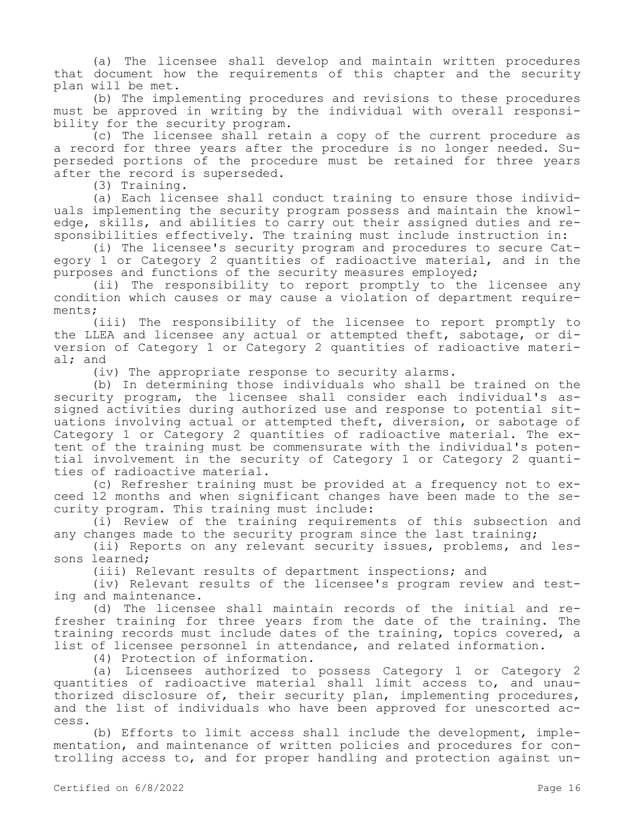(a) The licensee shall develop and maintain written procedures that document how the requirements of this chapter and the security plan will be met.

(b) The implementing procedures and revisions to these procedures must be approved in writing by the individual with overall responsibility for the security program.

(c) The licensee shall retain a copy of the current procedure as a record for three years after the procedure is no longer needed. Superseded portions of the procedure must be retained for three years after the record is superseded.

(3) Training.

(a) Each licensee shall conduct training to ensure those individuals implementing the security program possess and maintain the knowledge, skills, and abilities to carry out their assigned duties and responsibilities effectively. The training must include instruction in:

(i) The licensee's security program and procedures to secure Category 1 or Category 2 quantities of radioactive material, and in the purposes and functions of the security measures employed;

(ii) The responsibility to report promptly to the licensee any condition which causes or may cause a violation of department requirements;

(iii) The responsibility of the licensee to report promptly to the LLEA and licensee any actual or attempted theft, sabotage, or diversion of Category 1 or Category 2 quantities of radioactive material; and

(iv) The appropriate response to security alarms.

(b) In determining those individuals who shall be trained on the security program, the licensee shall consider each individual's assigned activities during authorized use and response to potential situations involving actual or attempted theft, diversion, or sabotage of Category 1 or Category 2 quantities of radioactive material. The extent of the training must be commensurate with the individual's potential involvement in the security of Category 1 or Category 2 quantities of radioactive material.

(c) Refresher training must be provided at a frequency not to exceed 12 months and when significant changes have been made to the security program. This training must include:

(i) Review of the training requirements of this subsection and any changes made to the security program since the last training;

(ii) Reports on any relevant security issues, problems, and lessons learned;

(iii) Relevant results of department inspections; and

(iv) Relevant results of the licensee's program review and testing and maintenance.

(d) The licensee shall maintain records of the initial and refresher training for three years from the date of the training. The training records must include dates of the training, topics covered, a list of licensee personnel in attendance, and related information.

(4) Protection of information.

(a) Licensees authorized to possess Category 1 or Category 2 quantities of radioactive material shall limit access to, and unauthorized disclosure of, their security plan, implementing procedures, and the list of individuals who have been approved for unescorted access.

(b) Efforts to limit access shall include the development, implementation, and maintenance of written policies and procedures for controlling access to, and for proper handling and protection against un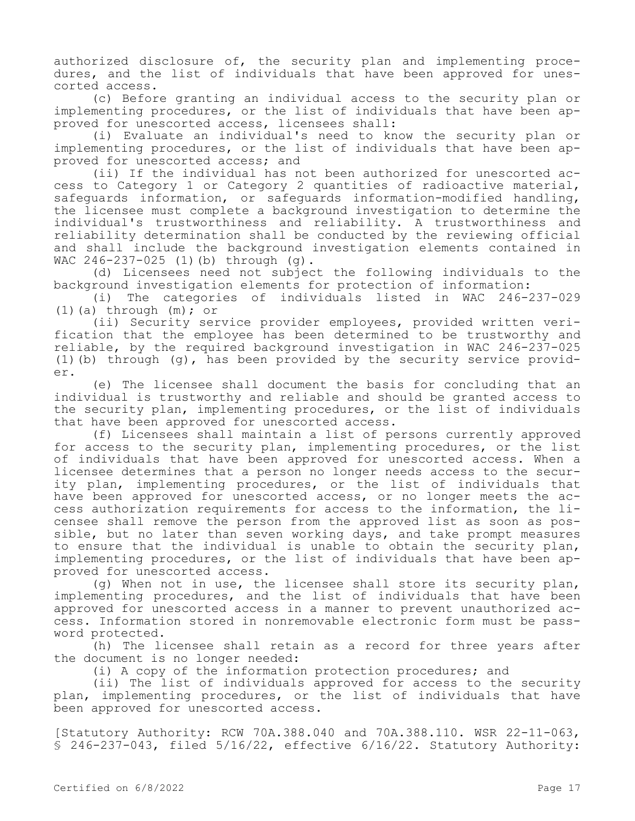authorized disclosure of, the security plan and implementing procedures, and the list of individuals that have been approved for unescorted access.

(c) Before granting an individual access to the security plan or implementing procedures, or the list of individuals that have been approved for unescorted access, licensees shall:

(i) Evaluate an individual's need to know the security plan or implementing procedures, or the list of individuals that have been approved for unescorted access; and

(ii) If the individual has not been authorized for unescorted access to Category 1 or Category 2 quantities of radioactive material, safeguards information, or safeguards information-modified handling, the licensee must complete a background investigation to determine the individual's trustworthiness and reliability. A trustworthiness and reliability determination shall be conducted by the reviewing official and shall include the background investigation elements contained in WAC 246-237-025 (1)(b) through (g).

(d) Licensees need not subject the following individuals to the background investigation elements for protection of information:

(i) The categories of individuals listed in WAC 246-237-029  $(1)(a)$  through  $(m);$  or

(ii) Security service provider employees, provided written verification that the employee has been determined to be trustworthy and reliable, by the required background investigation in WAC 246-237-025 (1)(b) through (g), has been provided by the security service provider.

(e) The licensee shall document the basis for concluding that an individual is trustworthy and reliable and should be granted access to the security plan, implementing procedures, or the list of individuals that have been approved for unescorted access.

(f) Licensees shall maintain a list of persons currently approved for access to the security plan, implementing procedures, or the list of individuals that have been approved for unescorted access. When a licensee determines that a person no longer needs access to the security plan, implementing procedures, or the list of individuals that have been approved for unescorted access, or no longer meets the access authorization requirements for access to the information, the licensee shall remove the person from the approved list as soon as possible, but no later than seven working days, and take prompt measures to ensure that the individual is unable to obtain the security plan, implementing procedures, or the list of individuals that have been approved for unescorted access.

(g) When not in use, the licensee shall store its security plan, implementing procedures, and the list of individuals that have been approved for unescorted access in a manner to prevent unauthorized access. Information stored in nonremovable electronic form must be password protected.

(h) The licensee shall retain as a record for three years after the document is no longer needed:

(i) A copy of the information protection procedures; and

(ii) The list of individuals approved for access to the security plan, implementing procedures, or the list of individuals that have been approved for unescorted access.

[Statutory Authority: RCW 70A.388.040 and 70A.388.110. WSR 22-11-063, § 246-237-043, filed 5/16/22, effective 6/16/22. Statutory Authority: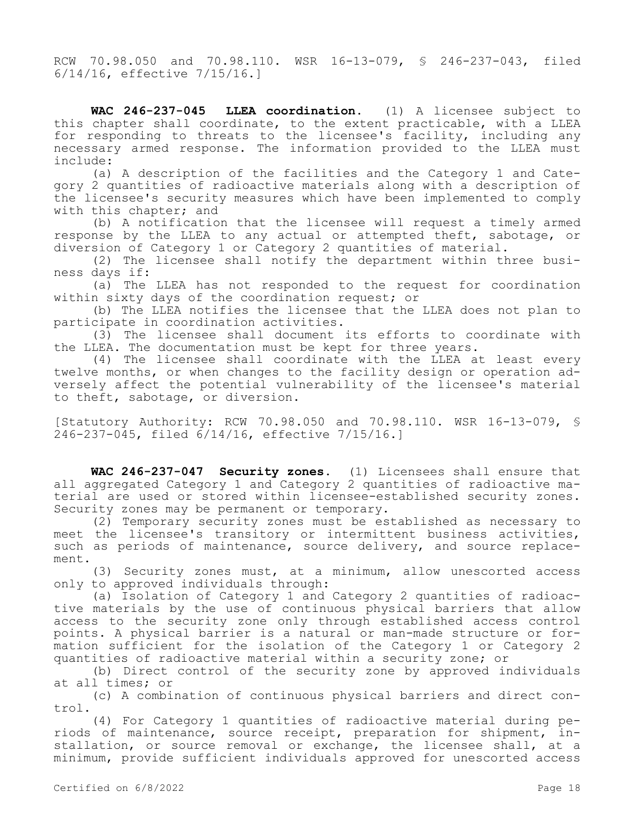RCW 70.98.050 and 70.98.110. WSR 16-13-079, § 246-237-043, filed 6/14/16, effective 7/15/16.]

**WAC 246-237-045 LLEA coordination.** (1) A licensee subject to this chapter shall coordinate, to the extent practicable, with a LLEA for responding to threats to the licensee's facility, including any necessary armed response. The information provided to the LLEA must include:

(a) A description of the facilities and the Category 1 and Category 2 quantities of radioactive materials along with a description of the licensee's security measures which have been implemented to comply with this chapter; and

(b) A notification that the licensee will request a timely armed response by the LLEA to any actual or attempted theft, sabotage, or diversion of Category 1 or Category 2 quantities of material.

(2) The licensee shall notify the department within three business days if:

(a) The LLEA has not responded to the request for coordination within sixty days of the coordination request; or

(b) The LLEA notifies the licensee that the LLEA does not plan to participate in coordination activities.

(3) The licensee shall document its efforts to coordinate with the LLEA. The documentation must be kept for three years.

(4) The licensee shall coordinate with the LLEA at least every twelve months, or when changes to the facility design or operation adversely affect the potential vulnerability of the licensee's material to theft, sabotage, or diversion.

[Statutory Authority: RCW 70.98.050 and 70.98.110. WSR 16-13-079, § 246-237-045, filed 6/14/16, effective 7/15/16.]

**WAC 246-237-047 Security zones.** (1) Licensees shall ensure that all aggregated Category 1 and Category 2 quantities of radioactive material are used or stored within licensee-established security zones. Security zones may be permanent or temporary.

(2) Temporary security zones must be established as necessary to meet the licensee's transitory or intermittent business activities, such as periods of maintenance, source delivery, and source replacement.

(3) Security zones must, at a minimum, allow unescorted access only to approved individuals through:

(a) Isolation of Category 1 and Category 2 quantities of radioactive materials by the use of continuous physical barriers that allow access to the security zone only through established access control points. A physical barrier is a natural or man-made structure or formation sufficient for the isolation of the Category 1 or Category 2 quantities of radioactive material within a security zone; or

(b) Direct control of the security zone by approved individuals at all times; or

(c) A combination of continuous physical barriers and direct control.

(4) For Category 1 quantities of radioactive material during periods of maintenance, source receipt, preparation for shipment, installation, or source removal or exchange, the licensee shall, at a minimum, provide sufficient individuals approved for unescorted access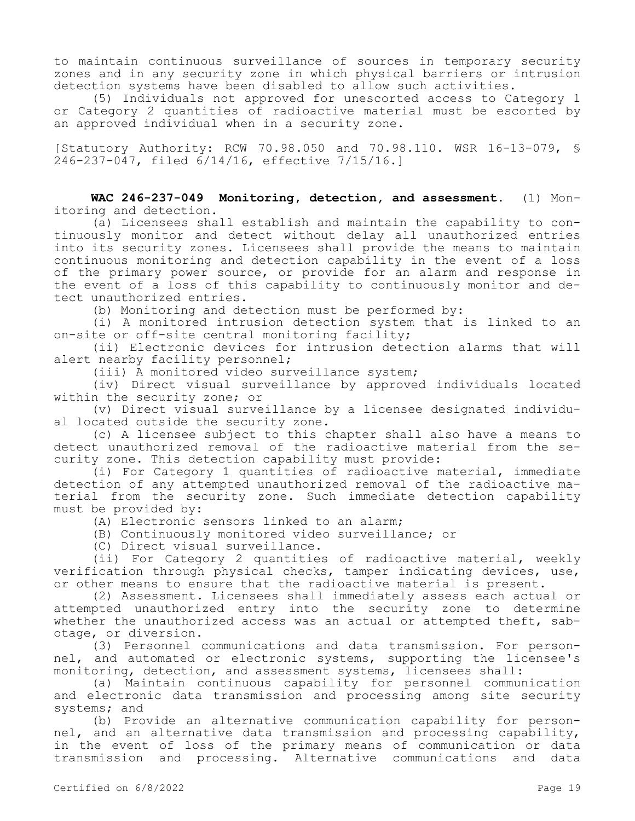to maintain continuous surveillance of sources in temporary security zones and in any security zone in which physical barriers or intrusion detection systems have been disabled to allow such activities.

(5) Individuals not approved for unescorted access to Category 1 or Category 2 quantities of radioactive material must be escorted by an approved individual when in a security zone.

[Statutory Authority: RCW 70.98.050 and 70.98.110. WSR 16-13-079, § 246-237-047, filed 6/14/16, effective 7/15/16.]

**WAC 246-237-049 Monitoring, detection, and assessment.** (1) Monitoring and detection.

(a) Licensees shall establish and maintain the capability to continuously monitor and detect without delay all unauthorized entries into its security zones. Licensees shall provide the means to maintain continuous monitoring and detection capability in the event of a loss of the primary power source, or provide for an alarm and response in the event of a loss of this capability to continuously monitor and detect unauthorized entries.

(b) Monitoring and detection must be performed by:

(i) A monitored intrusion detection system that is linked to an on-site or off-site central monitoring facility;

(ii) Electronic devices for intrusion detection alarms that will alert nearby facility personnel;

(iii) A monitored video surveillance system;

(iv) Direct visual surveillance by approved individuals located within the security zone; or

(v) Direct visual surveillance by a licensee designated individual located outside the security zone.

(c) A licensee subject to this chapter shall also have a means to detect unauthorized removal of the radioactive material from the security zone. This detection capability must provide:

(i) For Category 1 quantities of radioactive material, immediate detection of any attempted unauthorized removal of the radioactive material from the security zone. Such immediate detection capability must be provided by:

(A) Electronic sensors linked to an alarm;

(B) Continuously monitored video surveillance; or

(C) Direct visual surveillance.

(ii) For Category 2 quantities of radioactive material, weekly verification through physical checks, tamper indicating devices, use, or other means to ensure that the radioactive material is present.

(2) Assessment. Licensees shall immediately assess each actual or attempted unauthorized entry into the security zone to determine whether the unauthorized access was an actual or attempted theft, sabotage, or diversion.

(3) Personnel communications and data transmission. For personnel, and automated or electronic systems, supporting the licensee's monitoring, detection, and assessment systems, licensees shall:

(a) Maintain continuous capability for personnel communication and electronic data transmission and processing among site security systems; and

(b) Provide an alternative communication capability for personnel, and an alternative data transmission and processing capability, in the event of loss of the primary means of communication or data transmission and processing. Alternative communications and data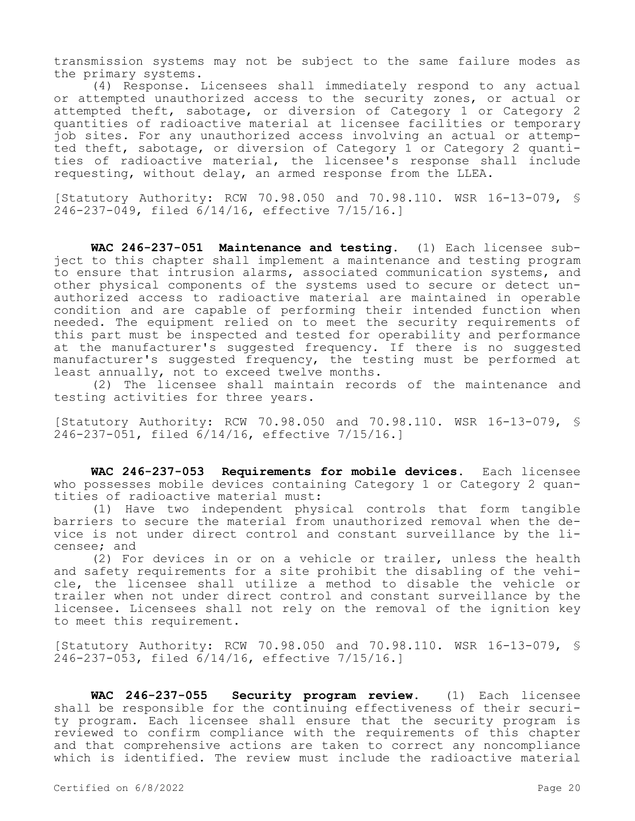transmission systems may not be subject to the same failure modes as the primary systems.

(4) Response. Licensees shall immediately respond to any actual or attempted unauthorized access to the security zones, or actual or attempted theft, sabotage, or diversion of Category 1 or Category 2 quantities of radioactive material at licensee facilities or temporary job sites. For any unauthorized access involving an actual or attempted theft, sabotage, or diversion of Category 1 or Category 2 quantities of radioactive material, the licensee's response shall include requesting, without delay, an armed response from the LLEA.

[Statutory Authority: RCW 70.98.050 and 70.98.110. WSR 16-13-079, § 246-237-049, filed 6/14/16, effective 7/15/16.]

**WAC 246-237-051 Maintenance and testing.** (1) Each licensee subject to this chapter shall implement a maintenance and testing program to ensure that intrusion alarms, associated communication systems, and other physical components of the systems used to secure or detect unauthorized access to radioactive material are maintained in operable condition and are capable of performing their intended function when needed. The equipment relied on to meet the security requirements of this part must be inspected and tested for operability and performance at the manufacturer's suggested frequency. If there is no suggested manufacturer's suggested frequency, the testing must be performed at least annually, not to exceed twelve months.

(2) The licensee shall maintain records of the maintenance and testing activities for three years.

[Statutory Authority: RCW 70.98.050 and 70.98.110. WSR 16-13-079, § 246-237-051, filed 6/14/16, effective 7/15/16.]

**WAC 246-237-053 Requirements for mobile devices.** Each licensee who possesses mobile devices containing Category 1 or Category 2 quantities of radioactive material must:

(1) Have two independent physical controls that form tangible barriers to secure the material from unauthorized removal when the device is not under direct control and constant surveillance by the licensee; and

(2) For devices in or on a vehicle or trailer, unless the health and safety requirements for a site prohibit the disabling of the vehicle, the licensee shall utilize a method to disable the vehicle or trailer when not under direct control and constant surveillance by the licensee. Licensees shall not rely on the removal of the ignition key to meet this requirement.

[Statutory Authority: RCW 70.98.050 and 70.98.110. WSR 16-13-079, § 246-237-053, filed 6/14/16, effective 7/15/16.]

**WAC 246-237-055 Security program review.** (1) Each licensee shall be responsible for the continuing effectiveness of their security program. Each licensee shall ensure that the security program is reviewed to confirm compliance with the requirements of this chapter and that comprehensive actions are taken to correct any noncompliance which is identified. The review must include the radioactive material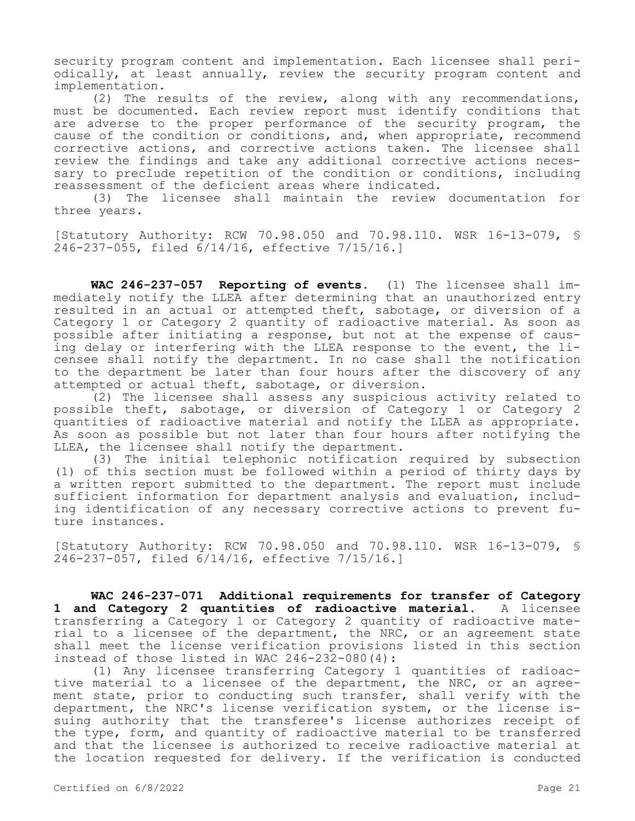security program content and implementation. Each licensee shall periodically, at least annually, review the security program content and implementation.

(2) The results of the review, along with any recommendations, must be documented. Each review report must identify conditions that are adverse to the proper performance of the security program, the cause of the condition or conditions, and, when appropriate, recommend corrective actions, and corrective actions taken. The licensee shall review the findings and take any additional corrective actions necessary to preclude repetition of the condition or conditions, including reassessment of the deficient areas where indicated.

(3) The licensee shall maintain the review documentation for three years.

[Statutory Authority: RCW 70.98.050 and 70.98.110. WSR 16-13-079, § 246-237-055, filed 6/14/16, effective 7/15/16.]

**WAC 246-237-057 Reporting of events.** (1) The licensee shall immediately notify the LLEA after determining that an unauthorized entry resulted in an actual or attempted theft, sabotage, or diversion of a Category 1 or Category 2 quantity of radioactive material. As soon as possible after initiating a response, but not at the expense of causing delay or interfering with the LLEA response to the event, the licensee shall notify the department. In no case shall the notification to the department be later than four hours after the discovery of any attempted or actual theft, sabotage, or diversion.

(2) The licensee shall assess any suspicious activity related to possible theft, sabotage, or diversion of Category 1 or Category 2 quantities of radioactive material and notify the LLEA as appropriate. As soon as possible but not later than four hours after notifying the LLEA, the licensee shall notify the department.

(3) The initial telephonic notification required by subsection (1) of this section must be followed within a period of thirty days by a written report submitted to the department. The report must include sufficient information for department analysis and evaluation, including identification of any necessary corrective actions to prevent future instances.

[Statutory Authority: RCW 70.98.050 and 70.98.110. WSR 16-13-079, § 246-237-057, filed 6/14/16, effective 7/15/16.]

**WAC 246-237-071 Additional requirements for transfer of Category 1 and Category 2 quantities of radioactive material.** A licensee transferring a Category 1 or Category 2 quantity of radioactive material to a licensee of the department, the NRC, or an agreement state shall meet the license verification provisions listed in this section instead of those listed in WAC 246-232-080(4):

(1) Any licensee transferring Category 1 quantities of radioactive material to a licensee of the department, the NRC, or an agreement state, prior to conducting such transfer, shall verify with the department, the NRC's license verification system, or the license issuing authority that the transferee's license authorizes receipt of the type, form, and quantity of radioactive material to be transferred and that the licensee is authorized to receive radioactive material at the location requested for delivery. If the verification is conducted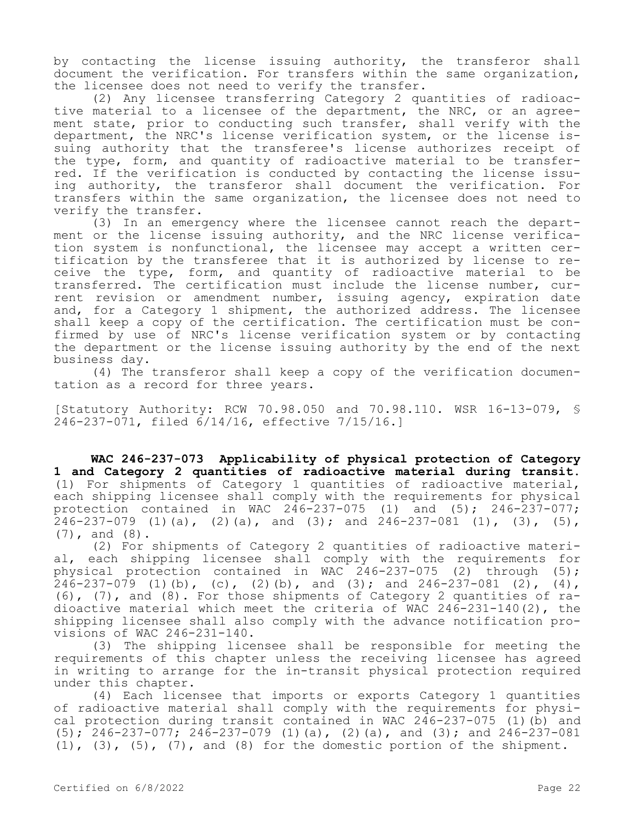by contacting the license issuing authority, the transferor shall document the verification. For transfers within the same organization, the licensee does not need to verify the transfer.

(2) Any licensee transferring Category 2 quantities of radioactive material to a licensee of the department, the NRC, or an agreement state, prior to conducting such transfer, shall verify with the department, the NRC's license verification system, or the license issuing authority that the transferee's license authorizes receipt of the type, form, and quantity of radioactive material to be transferred. If the verification is conducted by contacting the license issuing authority, the transferor shall document the verification. For transfers within the same organization, the licensee does not need to verify the transfer.

(3) In an emergency where the licensee cannot reach the department or the license issuing authority, and the NRC license verification system is nonfunctional, the licensee may accept a written certification by the transferee that it is authorized by license to receive the type, form, and quantity of radioactive material to be transferred. The certification must include the license number, current revision or amendment number, issuing agency, expiration date and, for a Category 1 shipment, the authorized address. The licensee shall keep a copy of the certification. The certification must be confirmed by use of NRC's license verification system or by contacting the department or the license issuing authority by the end of the next business day.

(4) The transferor shall keep a copy of the verification documentation as a record for three years.

[Statutory Authority: RCW 70.98.050 and 70.98.110. WSR 16-13-079, § 246-237-071, filed 6/14/16, effective 7/15/16.]

**WAC 246-237-073 Applicability of physical protection of Category 1 and Category 2 quantities of radioactive material during transit.**  (1) For shipments of Category 1 quantities of radioactive material, each shipping licensee shall comply with the requirements for physical protection contained in WAC  $246-237-075$  (1) and (5);  $246-237-077$ ;  $246 - 237 - 079$  (1)(a), (2)(a), and (3); and 246-237-081 (1), (3), (5), (7), and (8).

(2) For shipments of Category 2 quantities of radioactive material, each shipping licensee shall comply with the requirements for physical protection contained in WAC  $246-237-075$  (2) through (5); 246-237-079 (1)(b), (c), (2)(b), and (3); and 246-237-081 (2), (4), (6), (7), and (8). For those shipments of Category 2 quantities of radioactive material which meet the criteria of WAC 246-231-140(2), the shipping licensee shall also comply with the advance notification provisions of WAC 246-231-140.

(3) The shipping licensee shall be responsible for meeting the requirements of this chapter unless the receiving licensee has agreed in writing to arrange for the in-transit physical protection required under this chapter.

(4) Each licensee that imports or exports Category 1 quantities of radioactive material shall comply with the requirements for physical protection during transit contained in WAC 246-237-075 (1)(b) and  $(5); 246-237-077; 246-237-079 (1) (a), (2) (a),$  and  $(3);$  and  $246-237-081$  $(1)$ ,  $(3)$ ,  $(5)$ ,  $(7)$ , and  $(8)$  for the domestic portion of the shipment.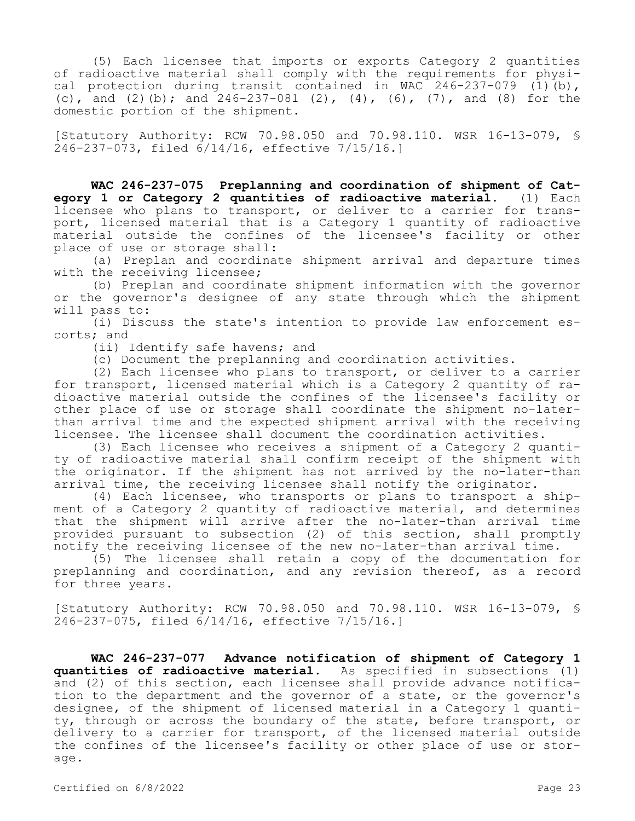(5) Each licensee that imports or exports Category 2 quantities of radioactive material shall comply with the requirements for physical protection during transit contained in WAC 246-237-079 (1)(b), (c), and (2)(b); and  $246-237-081$  (2), (4), (6), (7), and (8) for the domestic portion of the shipment.

[Statutory Authority: RCW 70.98.050 and 70.98.110. WSR 16-13-079, § 246-237-073, filed 6/14/16, effective 7/15/16.]

**WAC 246-237-075 Preplanning and coordination of shipment of Category 1 or Category 2 quantities of radioactive material.** (1) Each licensee who plans to transport, or deliver to a carrier for transport, licensed material that is a Category 1 quantity of radioactive material outside the confines of the licensee's facility or other place of use or storage shall:

(a) Preplan and coordinate shipment arrival and departure times with the receiving licensee;

(b) Preplan and coordinate shipment information with the governor or the governor's designee of any state through which the shipment will pass to:

(i) Discuss the state's intention to provide law enforcement escorts; and

(ii) Identify safe havens; and

(c) Document the preplanning and coordination activities.

(2) Each licensee who plans to transport, or deliver to a carrier for transport, licensed material which is a Category 2 quantity of radioactive material outside the confines of the licensee's facility or other place of use or storage shall coordinate the shipment no-laterthan arrival time and the expected shipment arrival with the receiving licensee. The licensee shall document the coordination activities.

(3) Each licensee who receives a shipment of a Category 2 quantity of radioactive material shall confirm receipt of the shipment with the originator. If the shipment has not arrived by the no-later-than arrival time, the receiving licensee shall notify the originator.

(4) Each licensee, who transports or plans to transport a shipment of a Category 2 quantity of radioactive material, and determines that the shipment will arrive after the no-later-than arrival time provided pursuant to subsection (2) of this section, shall promptly notify the receiving licensee of the new no-later-than arrival time.

(5) The licensee shall retain a copy of the documentation for preplanning and coordination, and any revision thereof, as a record for three years.

[Statutory Authority: RCW 70.98.050 and 70.98.110. WSR 16-13-079, § 246-237-075, filed 6/14/16, effective 7/15/16.]

**WAC 246-237-077 Advance notification of shipment of Category 1 quantities of radioactive material.** As specified in subsections (1) and (2) of this section, each licensee shall provide advance notification to the department and the governor of a state, or the governor's designee, of the shipment of licensed material in a Category 1 quantity, through or across the boundary of the state, before transport, or delivery to a carrier for transport, of the licensed material outside the confines of the licensee's facility or other place of use or storage.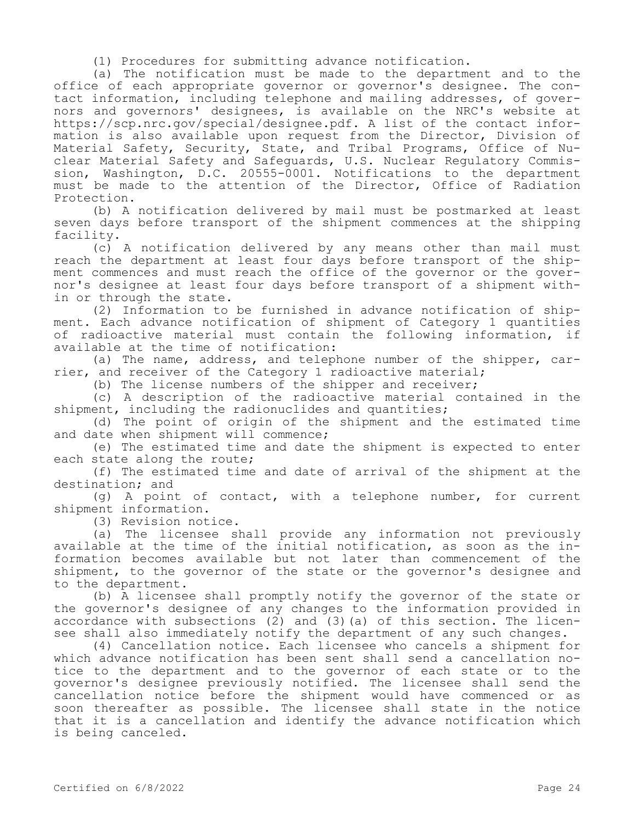(1) Procedures for submitting advance notification.

(a) The notification must be made to the department and to the office of each appropriate governor or governor's designee. The contact information, including telephone and mailing addresses, of governors and governors' designees, is available on the NRC's website at https://scp.nrc.gov/special/designee.pdf. A list of the contact information is also available upon request from the Director, Division of Material Safety, Security, State, and Tribal Programs, Office of Nuclear Material Safety and Safeguards, U.S. Nuclear Regulatory Commission, Washington, D.C. 20555-0001. Notifications to the department must be made to the attention of the Director, Office of Radiation Protection.

(b) A notification delivered by mail must be postmarked at least seven days before transport of the shipment commences at the shipping facility.

(c) A notification delivered by any means other than mail must reach the department at least four days before transport of the shipment commences and must reach the office of the governor or the governor's designee at least four days before transport of a shipment within or through the state.

(2) Information to be furnished in advance notification of shipment. Each advance notification of shipment of Category 1 quantities of radioactive material must contain the following information, if available at the time of notification:

(a) The name, address, and telephone number of the shipper, carrier, and receiver of the Category 1 radioactive material;

(b) The license numbers of the shipper and receiver;

(c) A description of the radioactive material contained in the shipment, including the radionuclides and quantities;

(d) The point of origin of the shipment and the estimated time and date when shipment will commence;

(e) The estimated time and date the shipment is expected to enter each state along the route;

(f) The estimated time and date of arrival of the shipment at the destination; and

(g) A point of contact, with a telephone number, for current shipment information.

(3) Revision notice.

(a) The licensee shall provide any information not previously available at the time of the initial notification, as soon as the information becomes available but not later than commencement of the shipment, to the governor of the state or the governor's designee and to the department.

(b) A licensee shall promptly notify the governor of the state or the governor's designee of any changes to the information provided in accordance with subsections (2) and (3)(a) of this section. The licensee shall also immediately notify the department of any such changes.

(4) Cancellation notice. Each licensee who cancels a shipment for which advance notification has been sent shall send a cancellation notice to the department and to the governor of each state or to the governor's designee previously notified. The licensee shall send the cancellation notice before the shipment would have commenced or as soon thereafter as possible. The licensee shall state in the notice that it is a cancellation and identify the advance notification which is being canceled.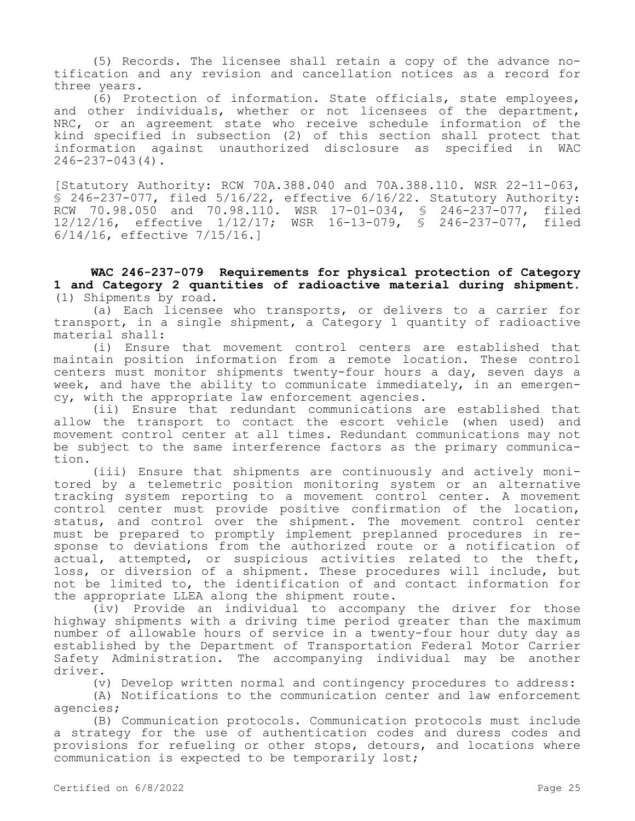(5) Records. The licensee shall retain a copy of the advance notification and any revision and cancellation notices as a record for three years.

 $\overline{6}$ ) Protection of information. State officials, state employees, and other individuals, whether or not licensees of the department, NRC, or an agreement state who receive schedule information of the kind specified in subsection (2) of this section shall protect that information against unauthorized disclosure as specified in WAC  $246 - 237 - 043(4)$ .

[Statutory Authority: RCW 70A.388.040 and 70A.388.110. WSR 22-11-063, § 246-237-077, filed 5/16/22, effective 6/16/22. Statutory Authority: RCW 70.98.050 and 70.98.110. WSR 17-01-034, § 246-237-077, filed 12/12/16, effective 1/12/17; WSR 16-13-079, § 246-237-077, filed 6/14/16, effective 7/15/16.]

**WAC 246-237-079 Requirements for physical protection of Category 1 and Category 2 quantities of radioactive material during shipment.**  (1) Shipments by road.

(a) Each licensee who transports, or delivers to a carrier for transport, in a single shipment, a Category 1 quantity of radioactive material shall:

(i) Ensure that movement control centers are established that maintain position information from a remote location. These control centers must monitor shipments twenty-four hours a day, seven days a week, and have the ability to communicate immediately, in an emergency, with the appropriate law enforcement agencies.

(ii) Ensure that redundant communications are established that allow the transport to contact the escort vehicle (when used) and movement control center at all times. Redundant communications may not be subject to the same interference factors as the primary communication.

(iii) Ensure that shipments are continuously and actively monitored by a telemetric position monitoring system or an alternative tracking system reporting to a movement control center. A movement control center must provide positive confirmation of the location, status, and control over the shipment. The movement control center must be prepared to promptly implement preplanned procedures in response to deviations from the authorized route or a notification of actual, attempted, or suspicious activities related to the theft, loss, or diversion of a shipment. These procedures will include, but not be limited to, the identification of and contact information for the appropriate LLEA along the shipment route.

(iv) Provide an individual to accompany the driver for those highway shipments with a driving time period greater than the maximum number of allowable hours of service in a twenty-four hour duty day as established by the Department of Transportation Federal Motor Carrier Safety Administration. The accompanying individual may be another driver.

(v) Develop written normal and contingency procedures to address:

(A) Notifications to the communication center and law enforcement agencies;

(B) Communication protocols. Communication protocols must include a strategy for the use of authentication codes and duress codes and provisions for refueling or other stops, detours, and locations where communication is expected to be temporarily lost;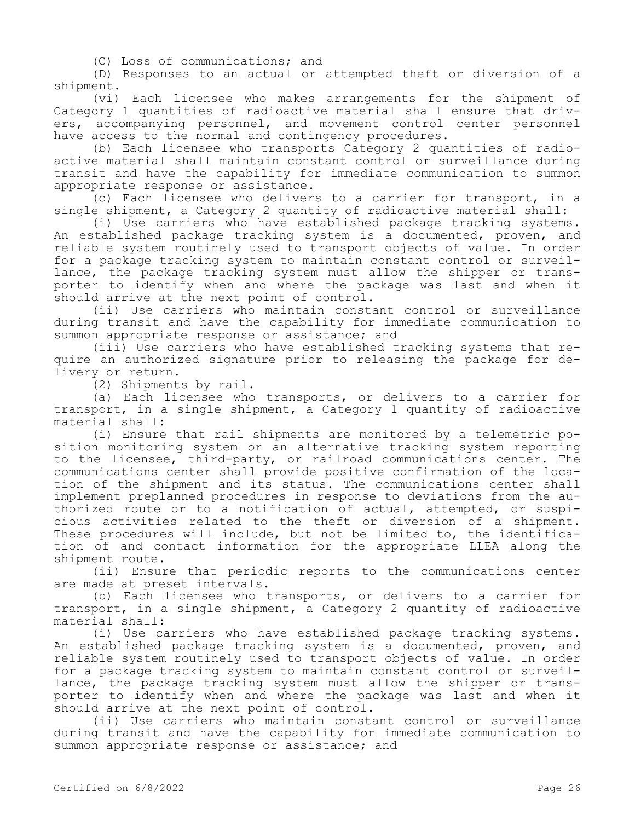(C) Loss of communications; and

(D) Responses to an actual or attempted theft or diversion of a shipment.

(vi) Each licensee who makes arrangements for the shipment of Category 1 quantities of radioactive material shall ensure that drivers, accompanying personnel, and movement control center personnel have access to the normal and contingency procedures.

(b) Each licensee who transports Category 2 quantities of radioactive material shall maintain constant control or surveillance during transit and have the capability for immediate communication to summon appropriate response or assistance.

(c) Each licensee who delivers to a carrier for transport, in a single shipment, a Category 2 quantity of radioactive material shall:

(i) Use carriers who have established package tracking systems. An established package tracking system is a documented, proven, and reliable system routinely used to transport objects of value. In order for a package tracking system to maintain constant control or surveillance, the package tracking system must allow the shipper or transporter to identify when and where the package was last and when it should arrive at the next point of control.

(ii) Use carriers who maintain constant control or surveillance during transit and have the capability for immediate communication to summon appropriate response or assistance; and

(iii) Use carriers who have established tracking systems that require an authorized signature prior to releasing the package for delivery or return.

(2) Shipments by rail.

(a) Each licensee who transports, or delivers to a carrier for transport, in a single shipment, a Category 1 quantity of radioactive material shall:

(i) Ensure that rail shipments are monitored by a telemetric position monitoring system or an alternative tracking system reporting to the licensee, third-party, or railroad communications center. The communications center shall provide positive confirmation of the location of the shipment and its status. The communications center shall implement preplanned procedures in response to deviations from the authorized route or to a notification of actual, attempted, or suspicious activities related to the theft or diversion of a shipment. These procedures will include, but not be limited to, the identification of and contact information for the appropriate LLEA along the shipment route.

(ii) Ensure that periodic reports to the communications center are made at preset intervals.

(b) Each licensee who transports, or delivers to a carrier for transport, in a single shipment, a Category 2 quantity of radioactive material shall:

(i) Use carriers who have established package tracking systems. An established package tracking system is a documented, proven, and reliable system routinely used to transport objects of value. In order for a package tracking system to maintain constant control or surveillance, the package tracking system must allow the shipper or transporter to identify when and where the package was last and when it should arrive at the next point of control.

(ii) Use carriers who maintain constant control or surveillance during transit and have the capability for immediate communication to summon appropriate response or assistance; and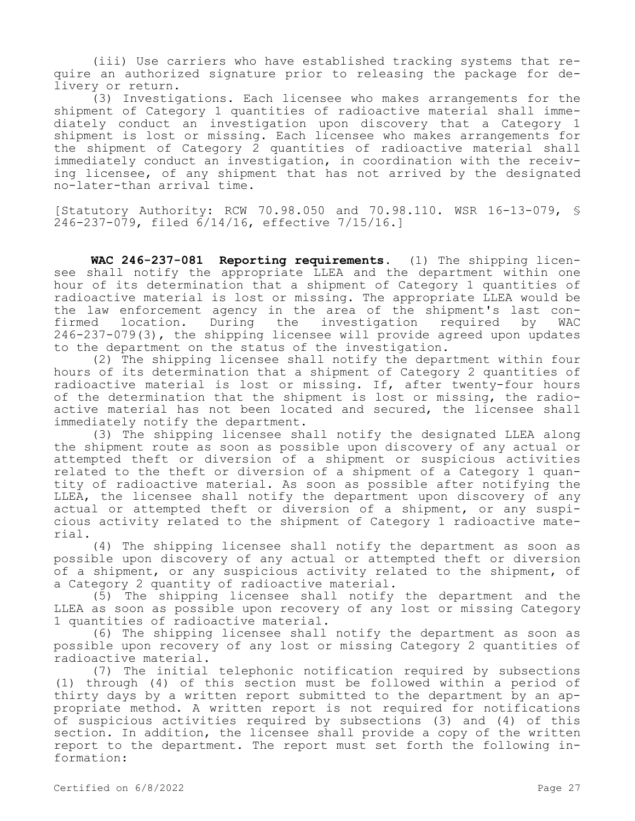(iii) Use carriers who have established tracking systems that require an authorized signature prior to releasing the package for delivery or return.

(3) Investigations. Each licensee who makes arrangements for the shipment of Category 1 quantities of radioactive material shall immediately conduct an investigation upon discovery that a Category 1 shipment is lost or missing. Each licensee who makes arrangements for the shipment of Category 2 quantities of radioactive material shall immediately conduct an investigation, in coordination with the receiving licensee, of any shipment that has not arrived by the designated no-later-than arrival time.

[Statutory Authority: RCW 70.98.050 and 70.98.110. WSR 16-13-079, § 246-237-079, filed 6/14/16, effective 7/15/16.]

**WAC 246-237-081 Reporting requirements.** (1) The shipping licensee shall notify the appropriate LLEA and the department within one hour of its determination that a shipment of Category 1 quantities of radioactive material is lost or missing. The appropriate LLEA would be the law enforcement agency in the area of the shipment's last confirmed location. During the investigation required by WAC 246-237-079(3), the shipping licensee will provide agreed upon updates to the department on the status of the investigation.

(2) The shipping licensee shall notify the department within four hours of its determination that a shipment of Category 2 quantities of radioactive material is lost or missing. If, after twenty-four hours of the determination that the shipment is lost or missing, the radioactive material has not been located and secured, the licensee shall immediately notify the department.

(3) The shipping licensee shall notify the designated LLEA along the shipment route as soon as possible upon discovery of any actual or attempted theft or diversion of a shipment or suspicious activities related to the theft or diversion of a shipment of a Category 1 quantity of radioactive material. As soon as possible after notifying the LLEA, the licensee shall notify the department upon discovery of any actual or attempted theft or diversion of a shipment, or any suspicious activity related to the shipment of Category 1 radioactive material.

(4) The shipping licensee shall notify the department as soon as possible upon discovery of any actual or attempted theft or diversion of a shipment, or any suspicious activity related to the shipment, of a Category 2 quantity of radioactive material.

(5) The shipping licensee shall notify the department and the LLEA as soon as possible upon recovery of any lost or missing Category 1 quantities of radioactive material.

(6) The shipping licensee shall notify the department as soon as possible upon recovery of any lost or missing Category 2 quantities of radioactive material.

(7) The initial telephonic notification required by subsections (1) through (4) of this section must be followed within a period of thirty days by a written report submitted to the department by an appropriate method. A written report is not required for notifications of suspicious activities required by subsections (3) and (4) of this section. In addition, the licensee shall provide a copy of the written report to the department. The report must set forth the following information: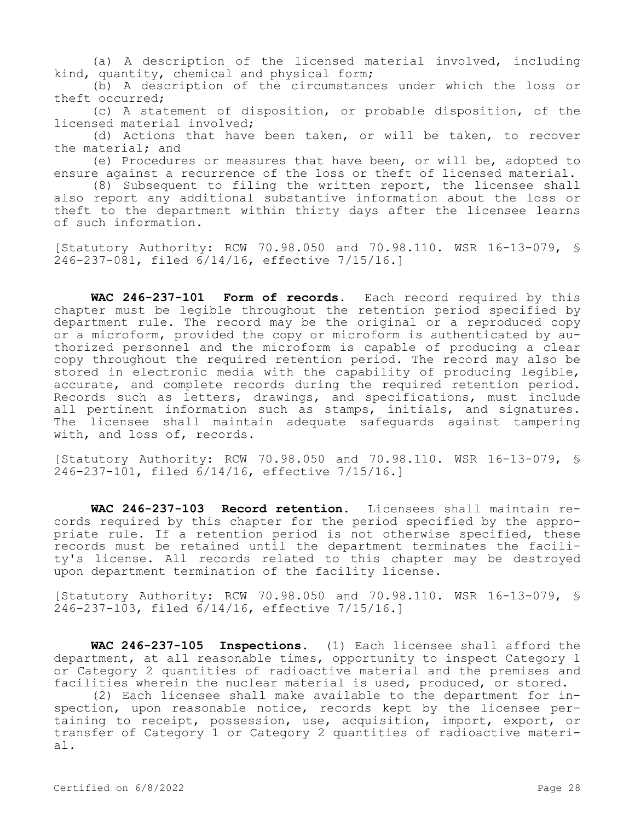(a) A description of the licensed material involved, including kind, quantity, chemical and physical form;

(b) A description of the circumstances under which the loss or theft occurred;

(c) A statement of disposition, or probable disposition, of the licensed material involved;

(d) Actions that have been taken, or will be taken, to recover the material; and

(e) Procedures or measures that have been, or will be, adopted to ensure against a recurrence of the loss or theft of licensed material.

(8) Subsequent to filing the written report, the licensee shall also report any additional substantive information about the loss or theft to the department within thirty days after the licensee learns of such information.

[Statutory Authority: RCW 70.98.050 and 70.98.110. WSR 16-13-079, § 246-237-081, filed 6/14/16, effective 7/15/16.]

**WAC 246-237-101 Form of records.** Each record required by this chapter must be legible throughout the retention period specified by department rule. The record may be the original or a reproduced copy or a microform, provided the copy or microform is authenticated by authorized personnel and the microform is capable of producing a clear copy throughout the required retention period. The record may also be stored in electronic media with the capability of producing legible, accurate, and complete records during the required retention period. Records such as letters, drawings, and specifications, must include all pertinent information such as stamps, initials, and signatures. The licensee shall maintain adequate safeguards against tampering with, and loss of, records.

[Statutory Authority: RCW 70.98.050 and 70.98.110. WSR 16-13-079, § 246-237-101, filed 6/14/16, effective 7/15/16.]

**WAC 246-237-103 Record retention.** Licensees shall maintain records required by this chapter for the period specified by the appropriate rule. If a retention period is not otherwise specified, these records must be retained until the department terminates the facility's license. All records related to this chapter may be destroyed upon department termination of the facility license.

[Statutory Authority: RCW 70.98.050 and 70.98.110. WSR 16-13-079, § 246-237-103, filed 6/14/16, effective 7/15/16.]

**WAC 246-237-105 Inspections.** (1) Each licensee shall afford the department, at all reasonable times, opportunity to inspect Category 1 or Category 2 quantities of radioactive material and the premises and facilities wherein the nuclear material is used, produced, or stored.

(2) Each licensee shall make available to the department for inspection, upon reasonable notice, records kept by the licensee pertaining to receipt, possession, use, acquisition, import, export, or transfer of Category 1 or Category 2 quantities of radioactive material.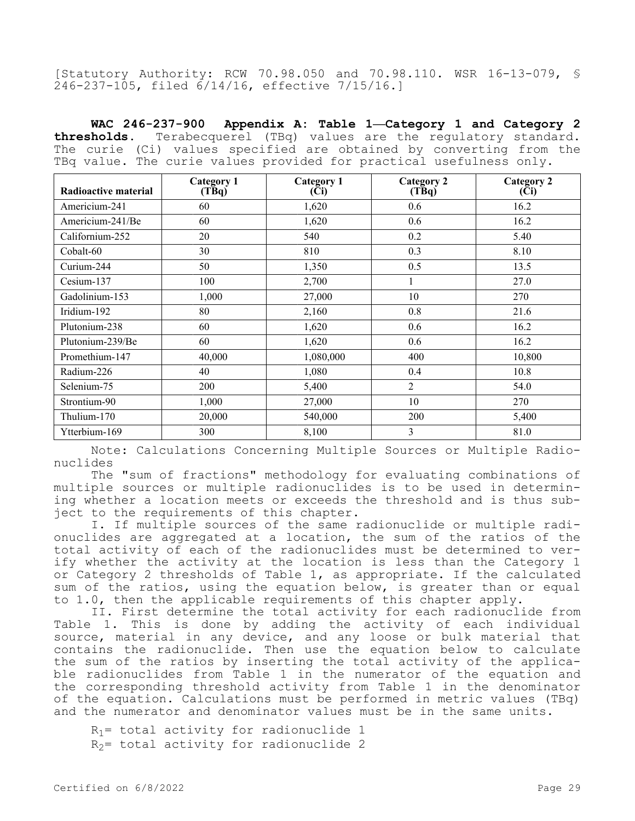[Statutory Authority: RCW 70.98.050 and 70.98.110. WSR 16-13-079, § 246-237-105, filed 6/14/16, effective 7/15/16.]

**WAC 246-237-900 Appendix A: Table 1—Category 1 and Category 2 thresholds.** Terabecquerel (TBq) values are the regulatory standard. The curie (Ci) values specified are obtained by converting from the TBq value. The curie values provided for practical usefulness only.

| <b>Radioactive material</b> | <b>Category 1</b><br>$(T\bar{B}q)$ | <b>Category 1</b><br>(Ci) | <b>Category 2</b><br>$(T\bar{B}q)$ | <b>Category 2</b><br>(Ci) |
|-----------------------------|------------------------------------|---------------------------|------------------------------------|---------------------------|
| Americium-241               | 60                                 | 1,620                     | 0.6                                | 16.2                      |
| Americium-241/Be            | 60                                 | 1,620                     | 0.6                                | 16.2                      |
| Californium-252             | 20                                 | 540                       | 0.2                                | 5.40                      |
| Cobalt-60                   | 30                                 | 810                       | 0.3                                | 8.10                      |
| Curium-244                  | 50                                 | 1,350                     | 0.5                                | 13.5                      |
| Cesium-137                  | 100                                | 2,700                     | 1                                  | 27.0                      |
| Gadolinium-153              | 1,000                              | 27,000                    | 10                                 | 270                       |
| Iridium-192                 | 80                                 | 2,160                     | 0.8                                | 21.6                      |
| Plutonium-238               | 60                                 | 1,620                     | 0.6                                | 16.2                      |
| Plutonium-239/Be            | 60                                 | 1,620                     | 0.6                                | 16.2                      |
| Promethium-147              | 40,000                             | 1,080,000                 | 400                                | 10,800                    |
| Radium-226                  | 40                                 | 1,080                     | 0.4                                | 10.8                      |
| Selenium-75                 | 200                                | 5,400                     | $\overline{2}$                     | 54.0                      |
| Strontium-90                | 1,000                              | 27,000                    | 10                                 | 270                       |
| Thulium-170                 | 20,000                             | 540,000                   | <b>200</b>                         | 5,400                     |
| Ytterbium-169               | 300                                | 8,100                     | 3                                  | 81.0                      |

Note: Calculations Concerning Multiple Sources or Multiple Radionuclides

The "sum of fractions" methodology for evaluating combinations of multiple sources or multiple radionuclides is to be used in determining whether a location meets or exceeds the threshold and is thus subject to the requirements of this chapter.

I. If multiple sources of the same radionuclide or multiple radionuclides are aggregated at a location, the sum of the ratios of the total activity of each of the radionuclides must be determined to verify whether the activity at the location is less than the Category 1 or Category 2 thresholds of Table 1, as appropriate. If the calculated sum of the ratios, using the equation below, is greater than or equal to 1.0, then the applicable requirements of this chapter apply.

II. First determine the total activity for each radionuclide from Table 1. This is done by adding the activity of each individual source, material in any device, and any loose or bulk material that contains the radionuclide. Then use the equation below to calculate the sum of the ratios by inserting the total activity of the applicable radionuclides from Table 1 in the numerator of the equation and the corresponding threshold activity from Table 1 in the denominator of the equation. Calculations must be performed in metric values (TBq) and the numerator and denominator values must be in the same units.

 $R_1$ = total activity for radionuclide 1  $R<sub>2</sub>$  total activity for radionuclide 2